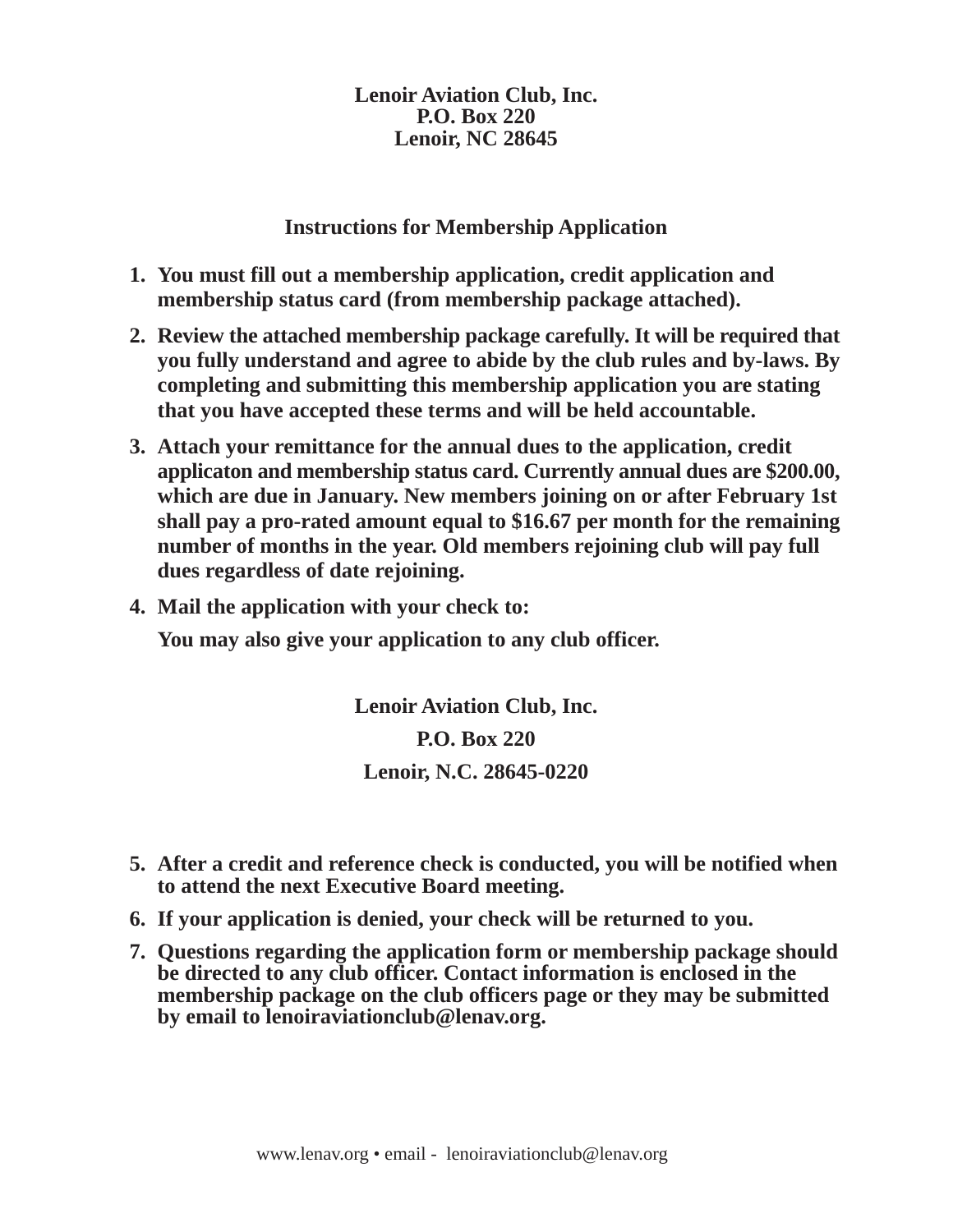**Instructions for Membership Application**

- **1. You must fill out a membership application, credit application and membership status card (from membership package attached).**
- **2. Review the attached membership package carefully. It will be required that you fully understand and agree to abide by the club rules and by-laws. By completing and submitting this membership application you are stating that you have accepted these terms and will be held accountable.**
- **3. Attach your remittance for the annual dues to the application, credit applicaton and membership status card. Currently annual dues are \$200.00, which are due in January. New members joining on or after February 1st shall pay a pro-rated amount equal to \$16.67 per month for the remaining number of months in the year. Old members rejoining club will pay full dues regardless of date rejoining.**
- **4. Mail the application with your check to:**

**You may also give your application to any club officer.**

**Lenoir Aviation Club, Inc. P.O. Box 220 Lenoir, N.C. 28645-0220**

- **5. After a credit and reference check is conducted, you will be notified when to attend the next Executive Board meeting.**
- **6. If your application is denied, your check will be returned to you.**
- **7. Questions regarding the application form or membership package should be directed to any club officer. Contact information is enclosed in the membership package on the club officers page or they may be submitted by email to lenoiraviationclub@lenav.org.**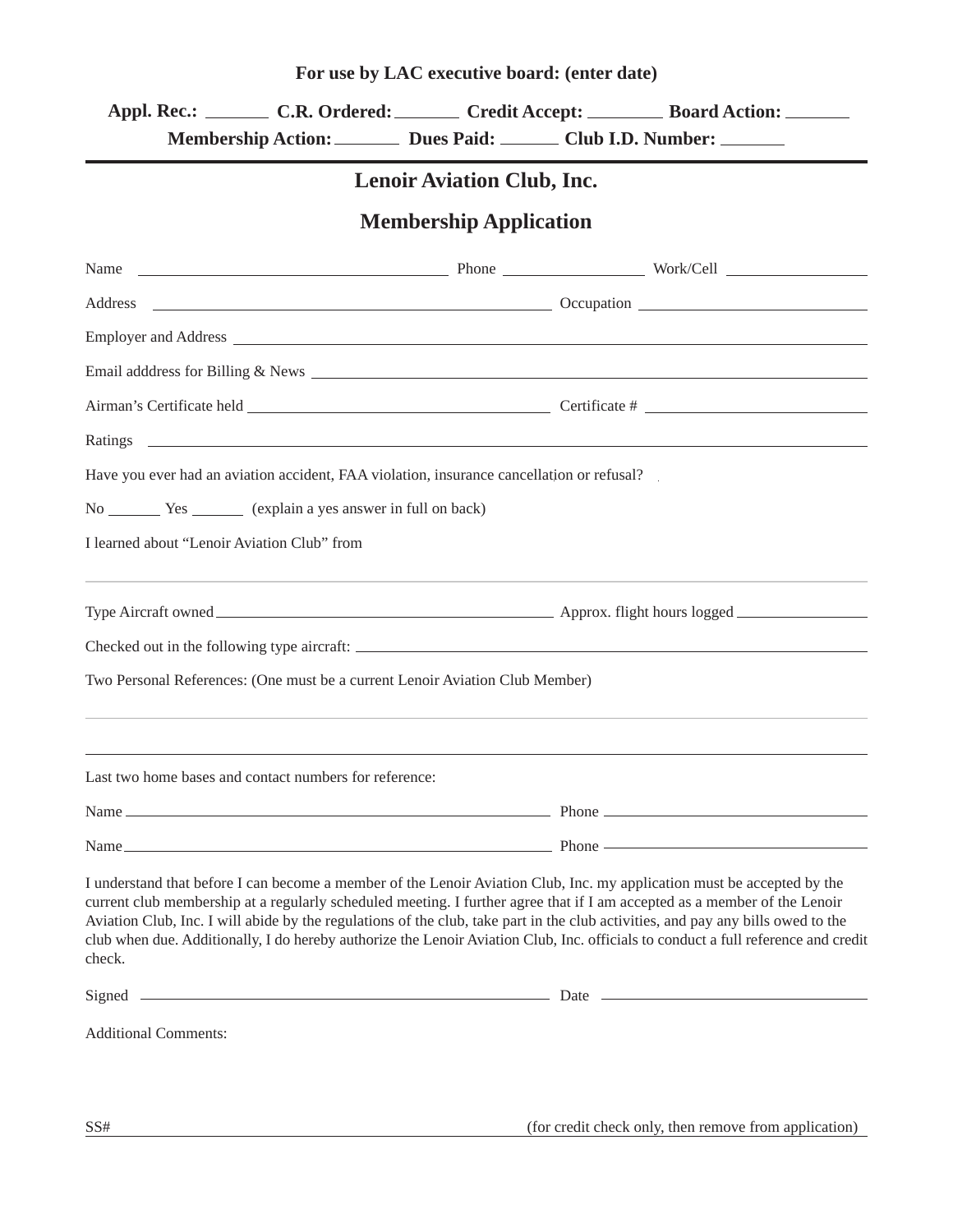| For use by LAC executive board: (enter date) |
|----------------------------------------------|
|----------------------------------------------|

Appl. Rec.: \_\_\_\_\_\_\_\_ C.R. Ordered: \_\_\_\_\_\_\_ Credit Accept: \_\_\_\_\_\_\_\_ Board Action:  **. Membership Action: Dues Paid: Club I.D. Number:**

### **Lenoir Aviation Club, Inc.**

### **Membership Application**

| Phone Work/Cell Work/Cell<br>Name                                                                                                                                                                                                                                                                                                                                                                                                                                                                                                        |  |
|------------------------------------------------------------------------------------------------------------------------------------------------------------------------------------------------------------------------------------------------------------------------------------------------------------------------------------------------------------------------------------------------------------------------------------------------------------------------------------------------------------------------------------------|--|
| $\sim$ Occupation $\sim$ Occupation $\sim$<br>Address                                                                                                                                                                                                                                                                                                                                                                                                                                                                                    |  |
|                                                                                                                                                                                                                                                                                                                                                                                                                                                                                                                                          |  |
|                                                                                                                                                                                                                                                                                                                                                                                                                                                                                                                                          |  |
|                                                                                                                                                                                                                                                                                                                                                                                                                                                                                                                                          |  |
|                                                                                                                                                                                                                                                                                                                                                                                                                                                                                                                                          |  |
| Have you ever had an aviation accident, FAA violation, insurance cancellation or refusal?                                                                                                                                                                                                                                                                                                                                                                                                                                                |  |
|                                                                                                                                                                                                                                                                                                                                                                                                                                                                                                                                          |  |
| I learned about "Lenoir Aviation Club" from                                                                                                                                                                                                                                                                                                                                                                                                                                                                                              |  |
|                                                                                                                                                                                                                                                                                                                                                                                                                                                                                                                                          |  |
|                                                                                                                                                                                                                                                                                                                                                                                                                                                                                                                                          |  |
| Two Personal References: (One must be a current Lenoir Aviation Club Member)                                                                                                                                                                                                                                                                                                                                                                                                                                                             |  |
| Last two home bases and contact numbers for reference:                                                                                                                                                                                                                                                                                                                                                                                                                                                                                   |  |
| Name has been contained by the contract of the contract of the contract of the contract of the contract of the contract of the contract of the contract of the contract of the contract of the contract of the contract of the                                                                                                                                                                                                                                                                                                           |  |
| $Phone$ $\longrightarrow$<br>Name                                                                                                                                                                                                                                                                                                                                                                                                                                                                                                        |  |
| I understand that before I can become a member of the Lenoir Aviation Club, Inc. my application must be accepted by the<br>current club membership at a regularly scheduled meeting. I further agree that if I am accepted as a member of the Lenoir<br>Aviation Club, Inc. I will abide by the regulations of the club, take part in the club activities, and pay any bills owed to the<br>club when due. Additionally, I do hereby authorize the Lenoir Aviation Club, Inc. officials to conduct a full reference and credit<br>check. |  |
|                                                                                                                                                                                                                                                                                                                                                                                                                                                                                                                                          |  |
| <b>Additional Comments:</b>                                                                                                                                                                                                                                                                                                                                                                                                                                                                                                              |  |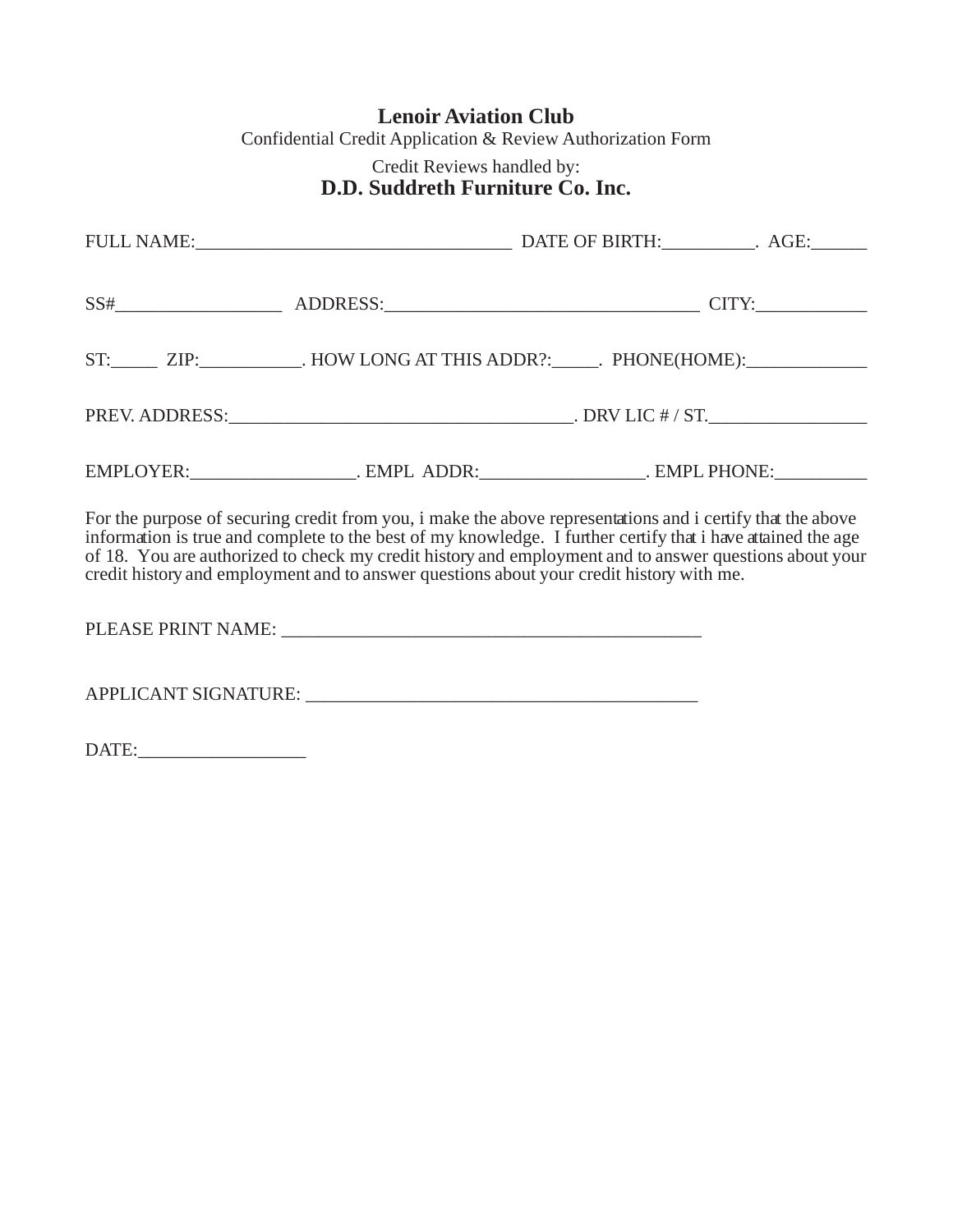### **Lenoir Aviation Club**

Confidential Credit Application & Review Authorization Form

#### Credit Reviews handled by: **D.D. Suddreth Furniture Co. Inc.**

| ST: ZIP: ________________. HOW LONG AT THIS ADDR?: ______. PHONE(HOME): _________                                                                                                                                                                                                                                                                                                                                                |  |
|----------------------------------------------------------------------------------------------------------------------------------------------------------------------------------------------------------------------------------------------------------------------------------------------------------------------------------------------------------------------------------------------------------------------------------|--|
|                                                                                                                                                                                                                                                                                                                                                                                                                                  |  |
|                                                                                                                                                                                                                                                                                                                                                                                                                                  |  |
| For the purpose of securing credit from you, i make the above representations and i certify that the above<br>information is true and complete to the best of my knowledge. I further certify that i have attained the age<br>of 18. You are authorized to check my credit history and employment and to answer questions about your<br>credit history and employment and to answer questions about your credit history with me. |  |

PLEASE PRINT NAME: \_\_\_\_\_\_\_\_\_\_\_\_\_\_\_\_\_\_\_\_\_\_\_\_\_\_\_\_\_\_\_\_\_\_\_\_\_\_\_\_\_\_\_\_\_

APPLICANT SIGNATURE: \_\_\_\_\_\_\_\_\_\_\_\_\_\_\_\_\_\_\_\_\_\_\_\_\_\_\_\_\_\_\_\_\_\_\_\_\_\_\_\_\_\_

DATE: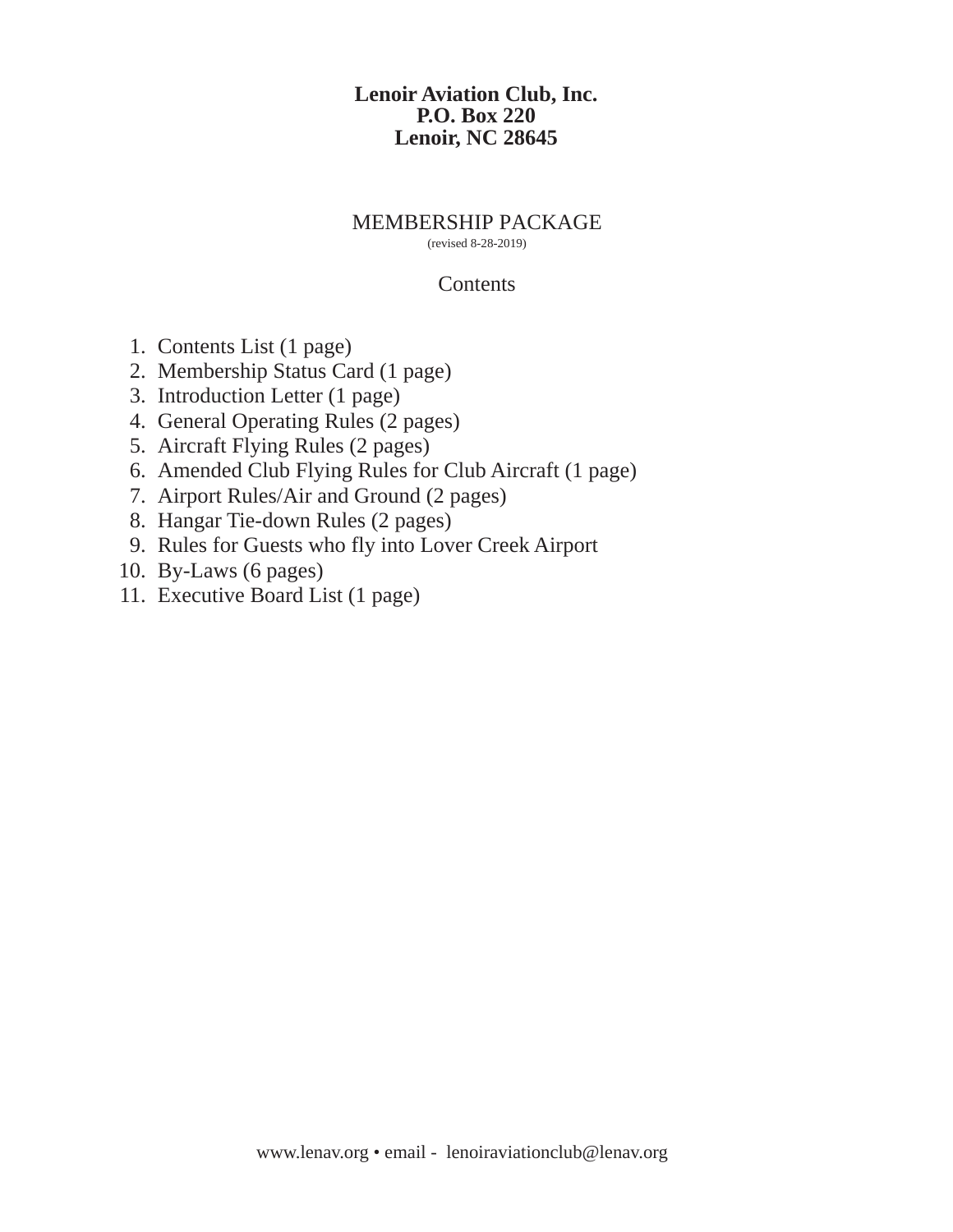#### MEMBERSHIP PACKAGE

(revised 8-28-2019)

#### **Contents**

- 1. Contents List (1 page)
- 2. Membership Status Card (1 page)
- 3. Introduction Letter (1 page)
- 4. General Operating Rules (2 pages)
- 5. Aircraft Flying Rules (2 pages)
- 6. Amended Club Flying Rules for Club Aircraft (1 page)
- 7. Airport Rules/Air and Ground (2 pages)
- 8. Hangar Tie-down Rules (2 pages)
- 9. Rules for Guests who fly into Lover Creek Airport
- 10. By-Laws (6 pages)
- 11. Executive Board List (1 page)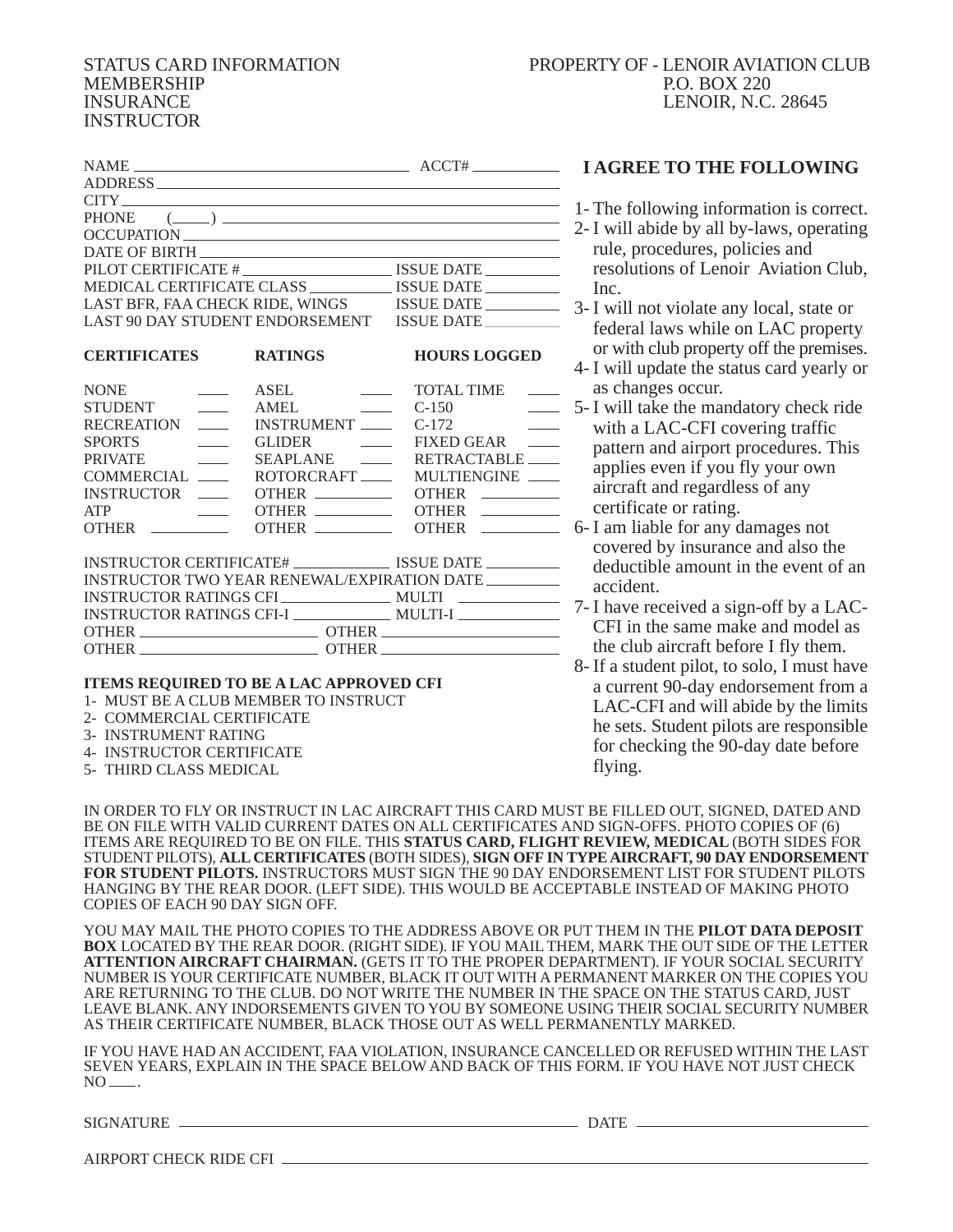#### STATUS CARD INFORMATION MEMBERSHIP INSURANCE INSTRUCTOR

| $NAME$ $ACCT#$                                                                                                                                                                                                                |            |
|-------------------------------------------------------------------------------------------------------------------------------------------------------------------------------------------------------------------------------|------------|
| ADDRESS                                                                                                                                                                                                                       |            |
| CITY THE CITY CONTROL CONTROL CONTROL CONTROL CONTROL CONTROL CONTROL CONTROL CONTROL CONTROL CONTROL CONTROL CONTROL CONTROL CONTROL CONTROL CONTROL CONTROL CONTROL CONTROL CONTROL CONTROL CONTROL CONTROL CONTROL CONTROL |            |
| PHONE $(\_\_)$                                                                                                                                                                                                                |            |
| OCCUPATION                                                                                                                                                                                                                    |            |
| DATE OF BIRTH                                                                                                                                                                                                                 |            |
| PILOT CERTIFICATE # ISSUE DATE                                                                                                                                                                                                |            |
|                                                                                                                                                                                                                               |            |
| LAST BFR. FAA CHECK RIDE. WINGS                                                                                                                                                                                               | ISSUE DATE |
| LAST 90 DAY STUDENT ENDORSEMENT                                                                                                                                                                                               | ISSUE DATE |
|                                                                                                                                                                                                                               |            |

| <b>CERTIFICATES</b>                                                                                                                                                                                                                | <b>RATINGS</b>                        | <b>HOURS LOGGED</b>                                    |
|------------------------------------------------------------------------------------------------------------------------------------------------------------------------------------------------------------------------------------|---------------------------------------|--------------------------------------------------------|
| <b>NONE</b><br>the company of the company of                                                                                                                                                                                       | ASEL<br>the control of the control of | <b>TOTAL TIME</b><br><b>Contract Contract Contract</b> |
| <b>STUDENT</b>                                                                                                                                                                                                                     | AMEL<br>$\sim$ C-150                  | <u> 1990 - Jan Sterling</u>                            |
| RECREATION ____                                                                                                                                                                                                                    | INSTRUMENT                            | <u> 1999 - Jan Jawa</u><br>$C-172$                     |
| SPORTS ______                                                                                                                                                                                                                      | GLIDER _______                        | FIXED GEAR                                             |
| <b>PRIVATE</b>                                                                                                                                                                                                                     | SEAPLANE ______                       | RETRACTABLE                                            |
| COMMERCIAL ____                                                                                                                                                                                                                    |                                       | ROTORCRAFT _____ MULTIENGINE ____                      |
| INSTRUCTOR _____                                                                                                                                                                                                                   |                                       | OTHER                                                  |
|                                                                                                                                                                                                                                    | $OTHER \_\_$                          | $OTHER \t  \t  \t  \t  \t  \t  \t  \t$                 |
| OTHER <u>the second</u> of the second of the second of the second of the second of the second of the second of the second of the second of the second of the second of the second of the second of the second of the second of the | OTHER                                 |                                                        |

| INSTRUCTOR CERTIFICATE#                     | ISSUE DATE   |
|---------------------------------------------|--------------|
| INSTRUCTOR TWO YEAR RENEWAL/EXPIRATION DATE |              |
| INSTRUCTOR RATINGS CFI                      | <b>MULTI</b> |
| INSTRUCTOR RATINGS CFI-I                    | MULTI-I      |
|                                             | <b>OTHER</b> |
| <b>OTHER</b>                                | <b>OTHER</b> |

#### **ITEMS REQUIRED TO BE A LAC APPROVED CFI**

- 1- MUST BE A CLUB MEMBER TO INSTRUCT
- 2- COMMERCIAL CERTIFICATE
- 3- INSTRUMENT RATING
- 4- INSTRUCTOR CERTIFICATE
- 5- THIRD CLASS MEDICAL

#### **I AGREE TO THE FOLLOWING**

- 1- The following information is correct.
- 2- I will abide by all by-laws, operating rule, procedures, policies and resolutions of Lenoir Aviation Club, Inc.
- 3- I will not violate any local, state or federal laws while on LAC property or with club property off the premises.
- 4- I will update the status card yearly or as changes occur.
- 5- I will take the mandatory check ride with a LAC-CFI covering traffic pattern and airport procedures. This applies even if you fly your own aircraft and regardless of any certificate or rating.
- 6- I am liable for any damages not covered by insurance and also the deductible amount in the event of an accident.
- 7- I have received a sign-off by a LAC-CFI in the same make and model as the club aircraft before I fly them.
- 8- If a student pilot, to solo, I must have a current 90-day endorsement from a LAC-CFI and will abide by the limits he sets. Student pilots are responsible for checking the 90-day date before flying.

IN ORDER TO FLY OR INSTRUCT IN LAC AIRCRAFT THIS CARD MUST BE FILLED OUT, SIGNED, DATED AND BE ON FILE WITH VALID CURRENT DATES ON ALL CERTIFICATES AND SIGN-OFFS. PHOTO COPIES OF (6) ITEMS ARE REQUIRED TO BE ON FILE. THIS **STATUS CARD, FLIGHT REVIEW, MEDICAL** (BOTH SIDES FOR STUDENT PILOTS), **ALL CERTIFICATES** (BOTH SIDES), **SIGN OFF IN TYPE AIRCRAFT, 90 DAY ENDORSEMENT FOR STUDENT PILOTS.** INSTRUCTORS MUST SIGN THE 90 DAY ENDORSEMENT LIST FOR STUDENT PILOTS HANGING BY THE REAR DOOR. (LEFT SIDE). THIS WOULD BE ACCEPTABLE INSTEAD OF MAKING PHOTO COPIES OF EACH 90 DAY SIGN OFF.

YOU MAY MAIL THE PHOTO COPIES TO THE ADDRESS ABOVE OR PUT THEM IN THE **PILOT DATA DEPOSIT BOX** LOCATED BY THE REAR DOOR. (RIGHT SIDE). IF YOU MAIL THEM, MARK THE OUT SIDE OF THE LETTER **ATTENTION AIRCRAFT CHAIRMAN.** (GETS IT TO THE PROPER DEPARTMENT). IF YOUR SOCIAL SECURITY NUMBER IS YOUR CERTIFICATE NUMBER, BLACK IT OUT WITH A PERMANENT MARKER ON THE COPIES YOU ARE RETURNING TO THE CLUB. DO NOT WRITE THE NUMBER IN THE SPACE ON THE STATUS CARD, JUST LEAVE BLANK. ANY INDORSEMENTS GIVEN TO YOU BY SOMEONE USING THEIR SOCIAL SECURITY NUMBER AS THEIR CERTIFICATE NUMBER, BLACK THOSE OUT AS WELL PERMANENTLY MARKED.

IF YOU HAVE HAD AN ACCIDENT, FAA VIOLATION, INSURANCE CANCELLED OR REFUSED WITHIN THE LAST SEVEN YEARS, EXPLAIN IN THE SPACE BELOW AND BACK OF THIS FORM. IF YOU HAVE NOT JUST CHECK  $NO$   $-$ 

SIGNATURE DATE

| AIRPORT CHECK RIDE CFI |
|------------------------|
|------------------------|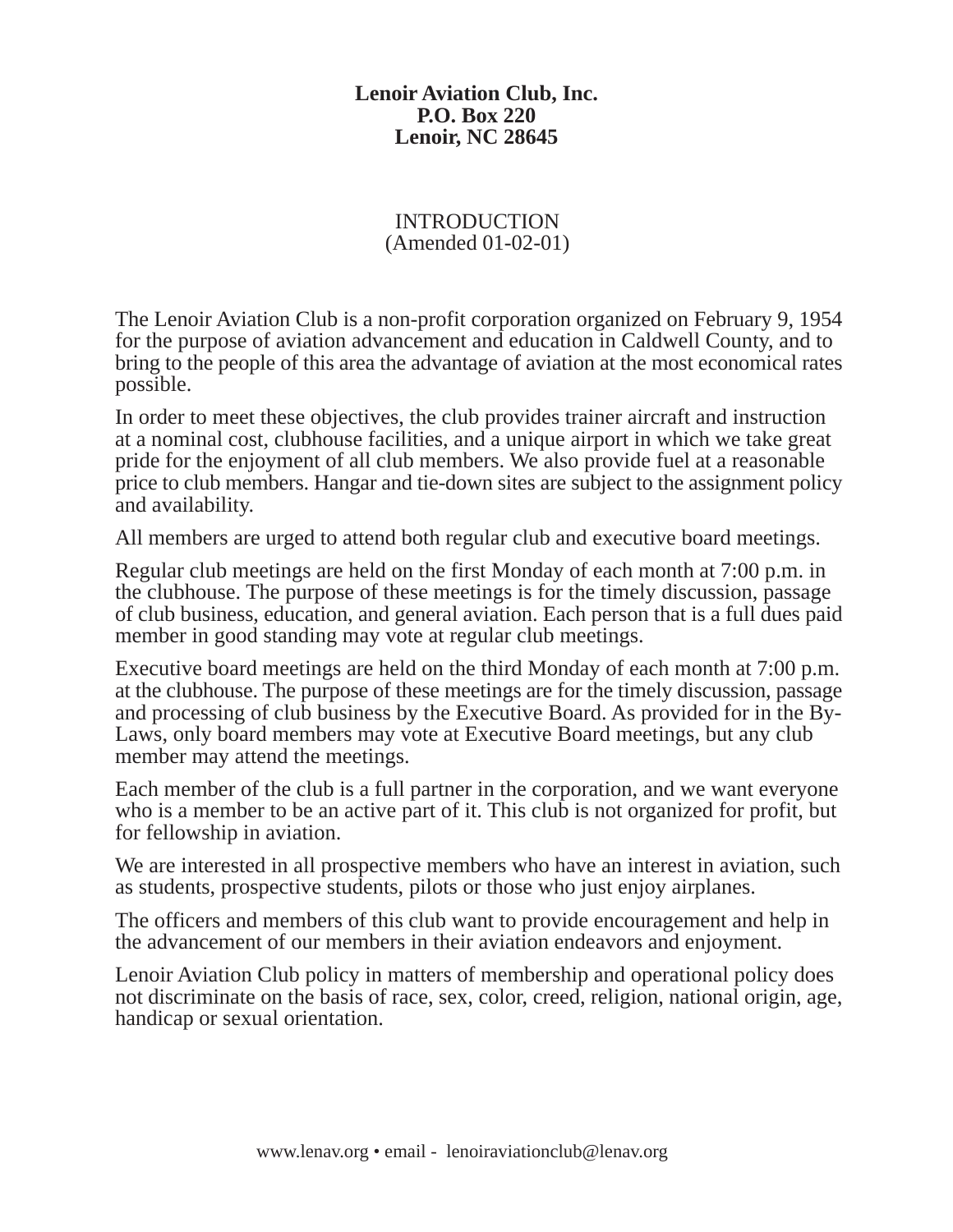#### INTRODUCTION (Amended 01-02-01)

The Lenoir Aviation Club is a non-profit corporation organized on February 9, 1954 for the purpose of aviation advancement and education in Caldwell County, and to bring to the people of this area the advantage of aviation at the most economical rates possible.

In order to meet these objectives, the club provides trainer aircraft and instruction at a nominal cost, clubhouse facilities, and a unique airport in which we take great pride for the enjoyment of all club members. We also provide fuel at a reasonable price to club members. Hangar and tie-down sites are subject to the assignment policy and availability.

All members are urged to attend both regular club and executive board meetings.

Regular club meetings are held on the first Monday of each month at 7:00 p.m. in the clubhouse. The purpose of these meetings is for the timely discussion, passage of club business, education, and general aviation. Each person that is a full dues paid member in good standing may vote at regular club meetings.

Executive board meetings are held on the third Monday of each month at 7:00 p.m. at the clubhouse. The purpose of these meetings are for the timely discussion, passage and processing of club business by the Executive Board. As provided for in the By-Laws, only board members may vote at Executive Board meetings, but any club member may attend the meetings.

Each member of the club is a full partner in the corporation, and we want everyone who is a member to be an active part of it. This club is not organized for profit, but for fellowship in aviation.

We are interested in all prospective members who have an interest in aviation, such as students, prospective students, pilots or those who just enjoy airplanes.

The officers and members of this club want to provide encouragement and help in the advancement of our members in their aviation endeavors and enjoyment.

Lenoir Aviation Club policy in matters of membership and operational policy does not discriminate on the basis of race, sex, color, creed, religion, national origin, age, handicap or sexual orientation.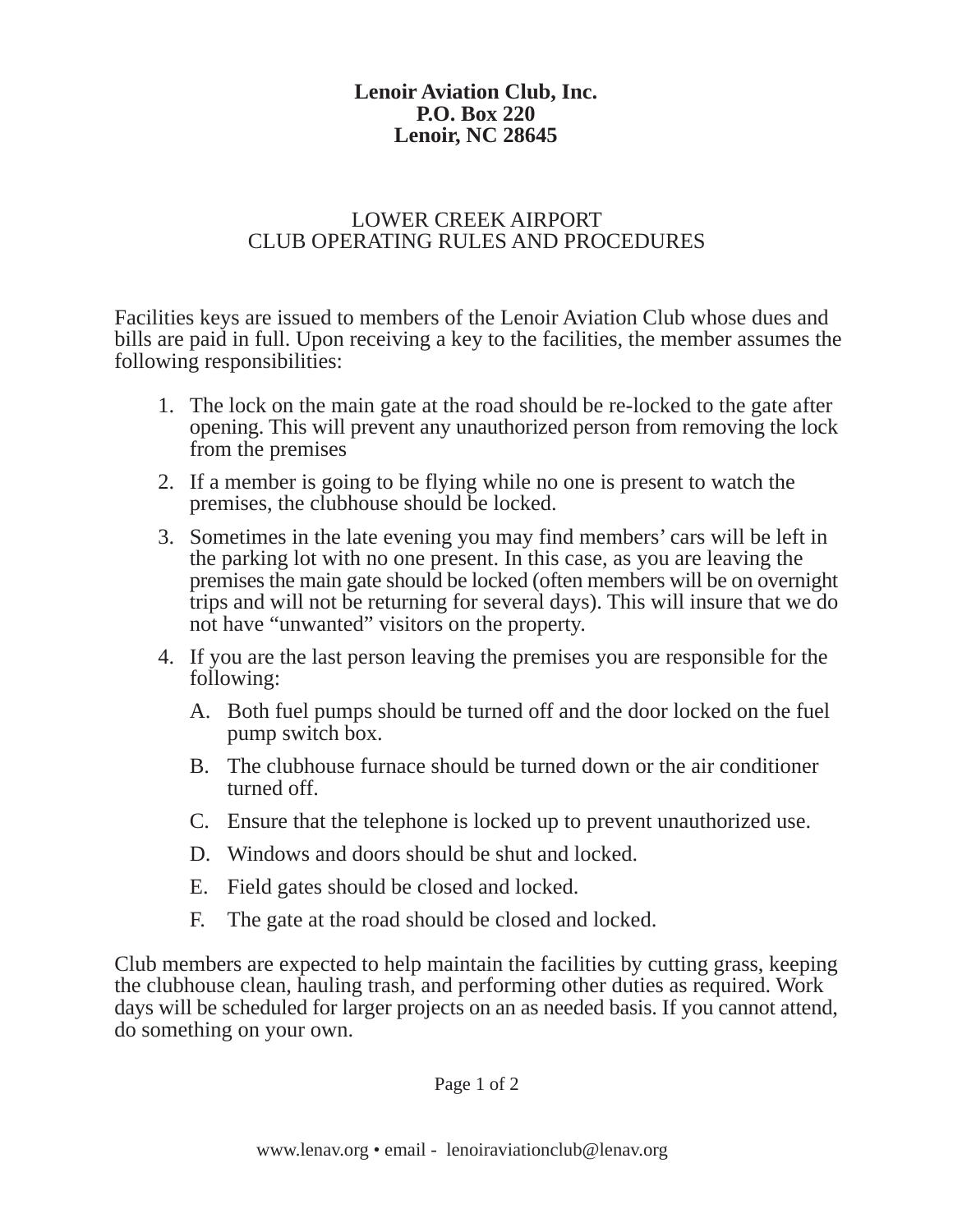### LOWER CREEK AIRPORT CLUB OPERATING RULES AND PROCEDURES

Facilities keys are issued to members of the Lenoir Aviation Club whose dues and bills are paid in full. Upon receiving a key to the facilities, the member assumes the following responsibilities:

- 1. The lock on the main gate at the road should be re-locked to the gate after opening. This will prevent any unauthorized person from removing the lock from the premises
- 2. If a member is going to be flying while no one is present to watch the premises, the clubhouse should be locked.
- 3. Sometimes in the late evening you may find members' cars will be left in the parking lot with no one present. In this case, as you are leaving the premises the main gate should be locked (often members will be on overnight trips and will not be returning for several days). This will insure that we do not have "unwanted" visitors on the property.
- 4. If you are the last person leaving the premises you are responsible for the following:
	- A. Both fuel pumps should be turned off and the door locked on the fuel pump switch box.
	- B. The clubhouse furnace should be turned down or the air conditioner turned off.
	- C. Ensure that the telephone is locked up to prevent unauthorized use.
	- D. Windows and doors should be shut and locked.
	- E. Field gates should be closed and locked.
	- F. The gate at the road should be closed and locked.

Club members are expected to help maintain the facilities by cutting grass, keeping the clubhouse clean, hauling trash, and performing other duties as required. Work days will be scheduled for larger projects on an as needed basis. If you cannot attend, do something on your own.

Page 1 of 2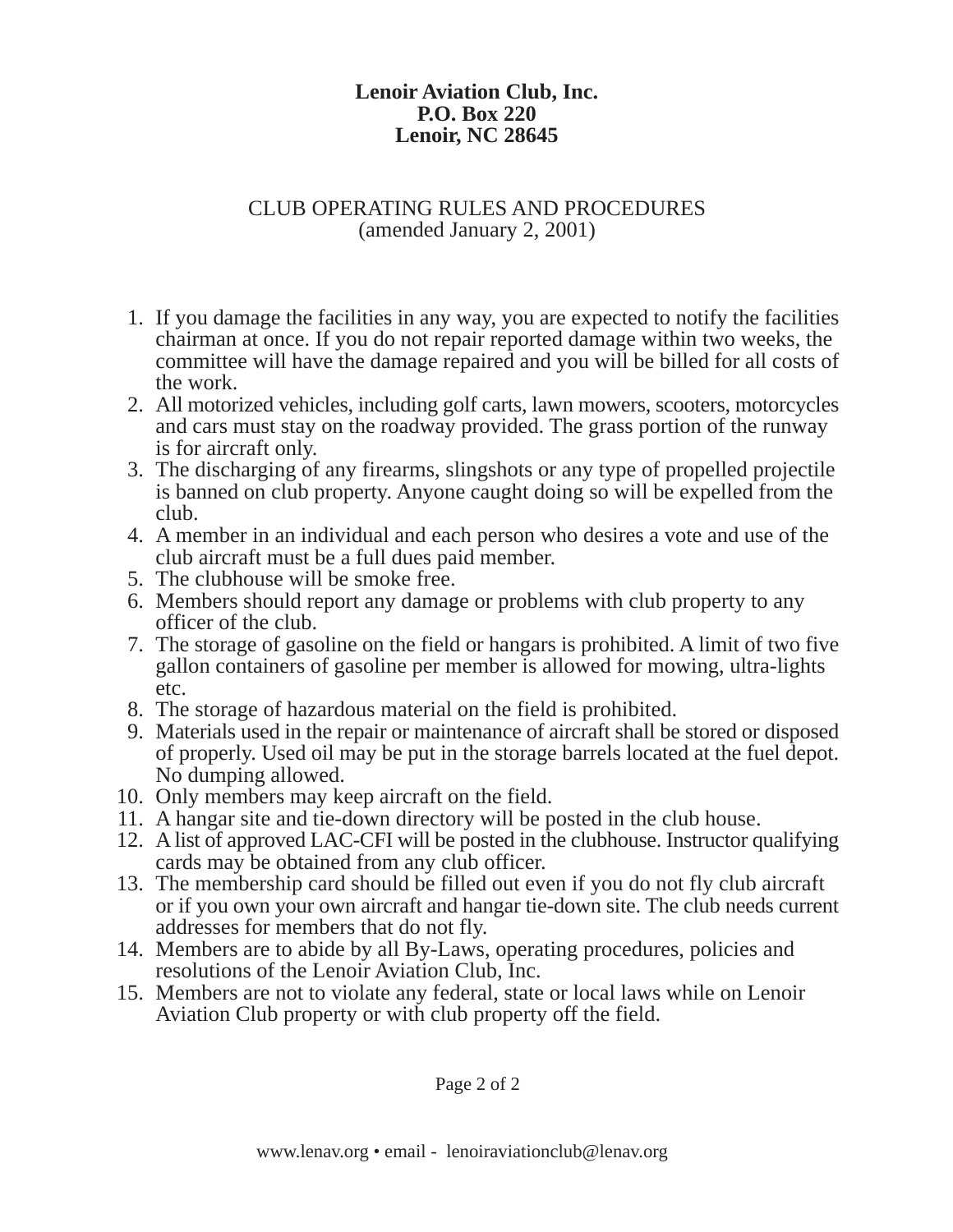### CLUB OPERATING RULES AND PROCEDURES (amended January 2, 2001)

- 1. If you damage the facilities in any way, you are expected to notify the facilities chairman at once. If you do not repair reported damage within two weeks, the committee will have the damage repaired and you will be billed for all costs of the work.
- 2. All motorized vehicles, including golf carts, lawn mowers, scooters, motorcycles and cars must stay on the roadway provided. The grass portion of the runway is for aircraft only.
- 3. The discharging of any firearms, slingshots or any type of propelled projectile is banned on club property. Anyone caught doing so will be expelled from the club.
- 4. A member in an individual and each person who desires a vote and use of the club aircraft must be a full dues paid member.
- 5. The clubhouse will be smoke free.
- 6. Members should report any damage or problems with club property to any officer of the club.
- 7. The storage of gasoline on the field or hangars is prohibited. A limit of two five gallon containers of gasoline per member is allowed for mowing, ultra-lights etc.
- 8. The storage of hazardous material on the field is prohibited.
- 9. Materials used in the repair or maintenance of aircraft shall be stored or disposed of properly. Used oil may be put in the storage barrels located at the fuel depot. No dumping allowed.
- 10. Only members may keep aircraft on the field.
- 11. A hangar site and tie-down directory will be posted in the club house.
- 12. A list of approved LAC-CFI will be posted in the clubhouse. Instructor qualifying cards may be obtained from any club officer.
- 13. The membership card should be filled out even if you do not fly club aircraft or if you own your own aircraft and hangar tie-down site. The club needs current addresses for members that do not fly.
- 14. Members are to abide by all By-Laws, operating procedures, policies and resolutions of the Lenoir Aviation Club, Inc.
- 15. Members are not to violate any federal, state or local laws while on Lenoir Aviation Club property or with club property off the field.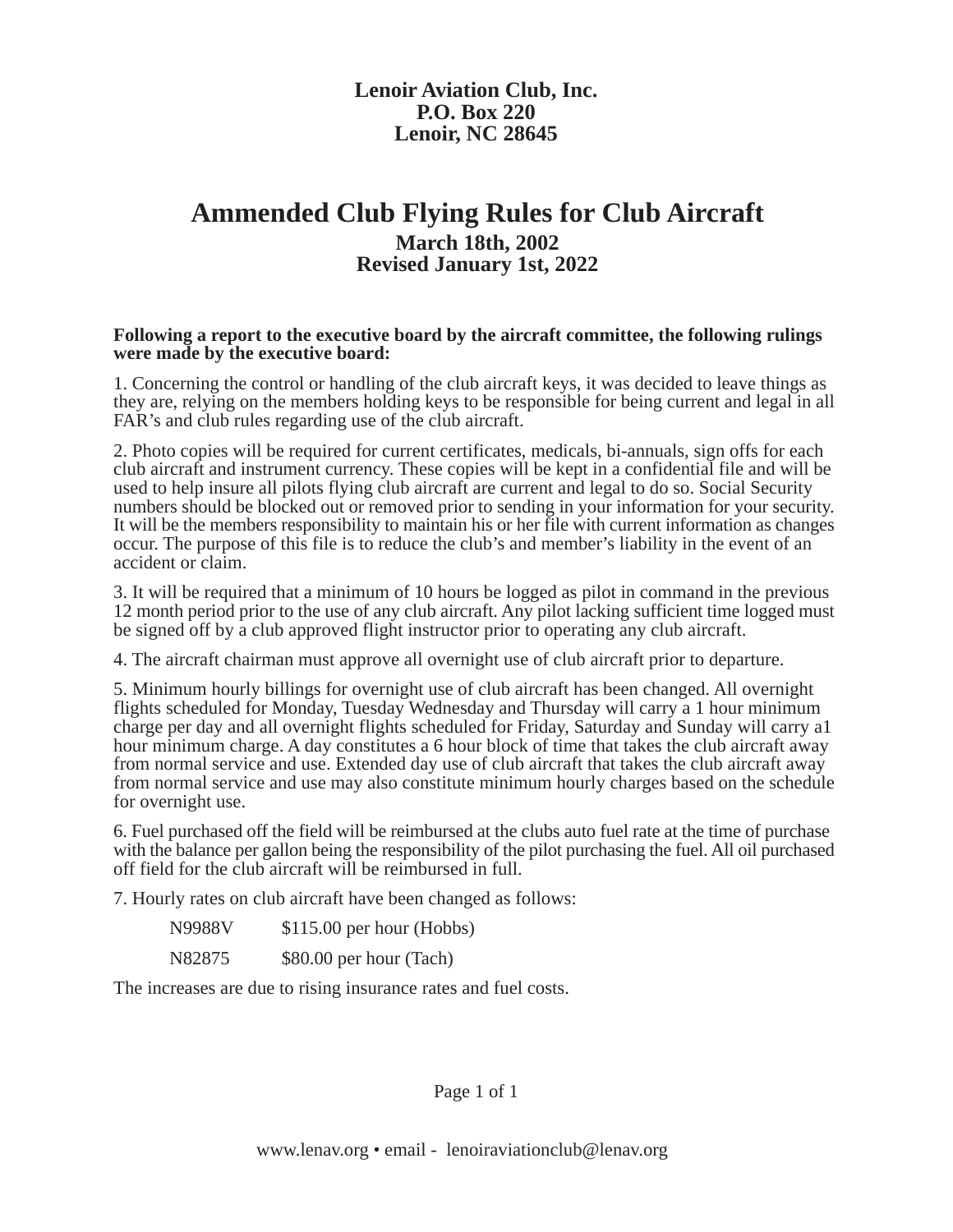### **Ammended Club Flying Rules for Club Aircraft March 18th, 2002 Revised January 1st, 2022**

#### **Following a report to the executive board by the aircraft committee, the following rulings were made by the executive board:**

1. Concerning the control or handling of the club aircraft keys, it was decided to leave things as they are, relying on the members holding keys to be responsible for being current and legal in all FAR's and club rules regarding use of the club aircraft.

2. Photo copies will be required for current certificates, medicals, bi-annuals, sign offs for each club aircraft and instrument currency. These copies will be kept in a confidential file and will be used to help insure all pilots flying club aircraft are current and legal to do so. Social Security numbers should be blocked out or removed prior to sending in your information for your security. It will be the members responsibility to maintain his or her file with current information as changes occur. The purpose of this file is to reduce the club's and member's liability in the event of an accident or claim.

3. It will be required that a minimum of 10 hours be logged as pilot in command in the previous 12 month period prior to the use of any club aircraft. Any pilot lacking sufficient time logged must be signed off by a club approved flight instructor prior to operating any club aircraft.

4. The aircraft chairman must approve all overnight use of club aircraft prior to departure.

5. Minimum hourly billings for overnight use of club aircraft has been changed. All overnight flights scheduled for Monday, Tuesday Wednesday and Thursday will carry a 1 hour minimum charge per day and all overnight flights scheduled for Friday, Saturday and Sunday will carry a1 hour minimum charge. A day constitutes a 6 hour block of time that takes the club aircraft away from normal service and use. Extended day use of club aircraft that takes the club aircraft away from normal service and use may also constitute minimum hourly charges based on the schedule for overnight use.

6. Fuel purchased off the field will be reimbursed at the clubs auto fuel rate at the time of purchase with the balance per gallon being the responsibility of the pilot purchasing the fuel. All oil purchased off field for the club aircraft will be reimbursed in full.

7. Hourly rates on club aircraft have been changed as follows:

| N9988V | $$115.00$ per hour (Hobbs) |
|--------|----------------------------|
| N82875 | \$80.00 per hour (Tach)    |

The increases are due to rising insurance rates and fuel costs.

Page 1 of 1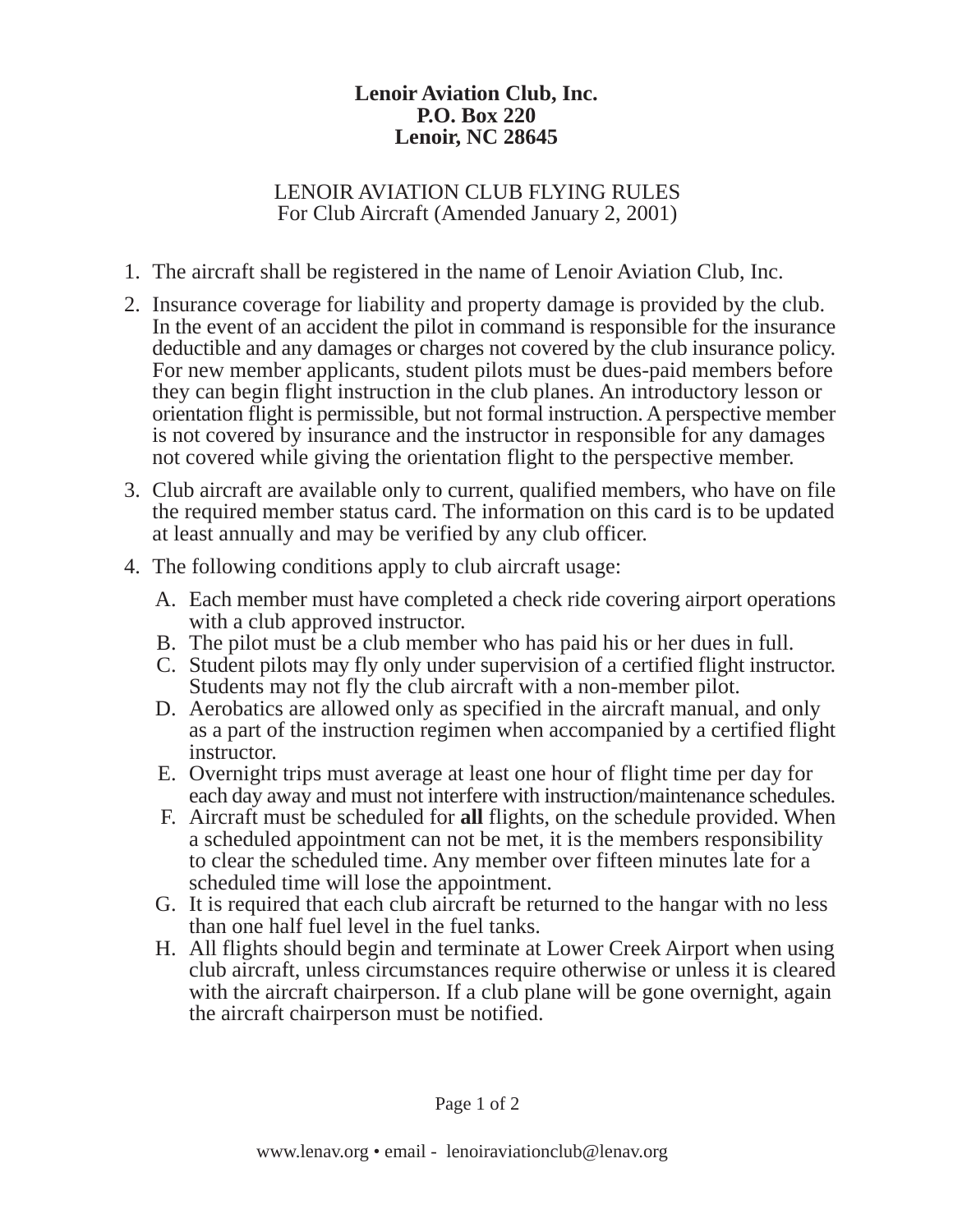#### LENOIR AVIATION CLUB FLYING RULES For Club Aircraft (Amended January 2, 2001)

- 1. The aircraft shall be registered in the name of Lenoir Aviation Club, Inc.
- 2. Insurance coverage for liability and property damage is provided by the club. In the event of an accident the pilot in command is responsible for the insurance deductible and any damages or charges not covered by the club insurance policy. For new member applicants, student pilots must be dues-paid members before they can begin flight instruction in the club planes. An introductory lesson or orientation flight is permissible, but not formal instruction. A perspective member is not covered by insurance and the instructor in responsible for any damages not covered while giving the orientation flight to the perspective member.
- 3. Club aircraft are available only to current, qualified members, who have on file the required member status card. The information on this card is to be updated at least annually and may be verified by any club officer.
- 4. The following conditions apply to club aircraft usage:
	- A. Each member must have completed a check ride covering airport operations with a club approved instructor.
	- B. The pilot must be a club member who has paid his or her dues in full.
	- C. Student pilots may fly only under supervision of a certified flight instructor. Students may not fly the club aircraft with a non-member pilot.
	- D. Aerobatics are allowed only as specified in the aircraft manual, and only as a part of the instruction regimen when accompanied by a certified flight instructor.
	- E. Overnight trips must average at least one hour of flight time per day for each day away and must not interfere with instruction/maintenance schedules.
	- F. Aircraft must be scheduled for **all** flights, on the schedule provided. When a scheduled appointment can not be met, it is the members responsibility to clear the scheduled time. Any member over fifteen minutes late for a scheduled time will lose the appointment.
	- G. It is required that each club aircraft be returned to the hangar with no less than one half fuel level in the fuel tanks.
	- H. All flights should begin and terminate at Lower Creek Airport when using club aircraft, unless circumstances require otherwise or unless it is cleared with the aircraft chairperson. If a club plane will be gone overnight, again the aircraft chairperson must be notified.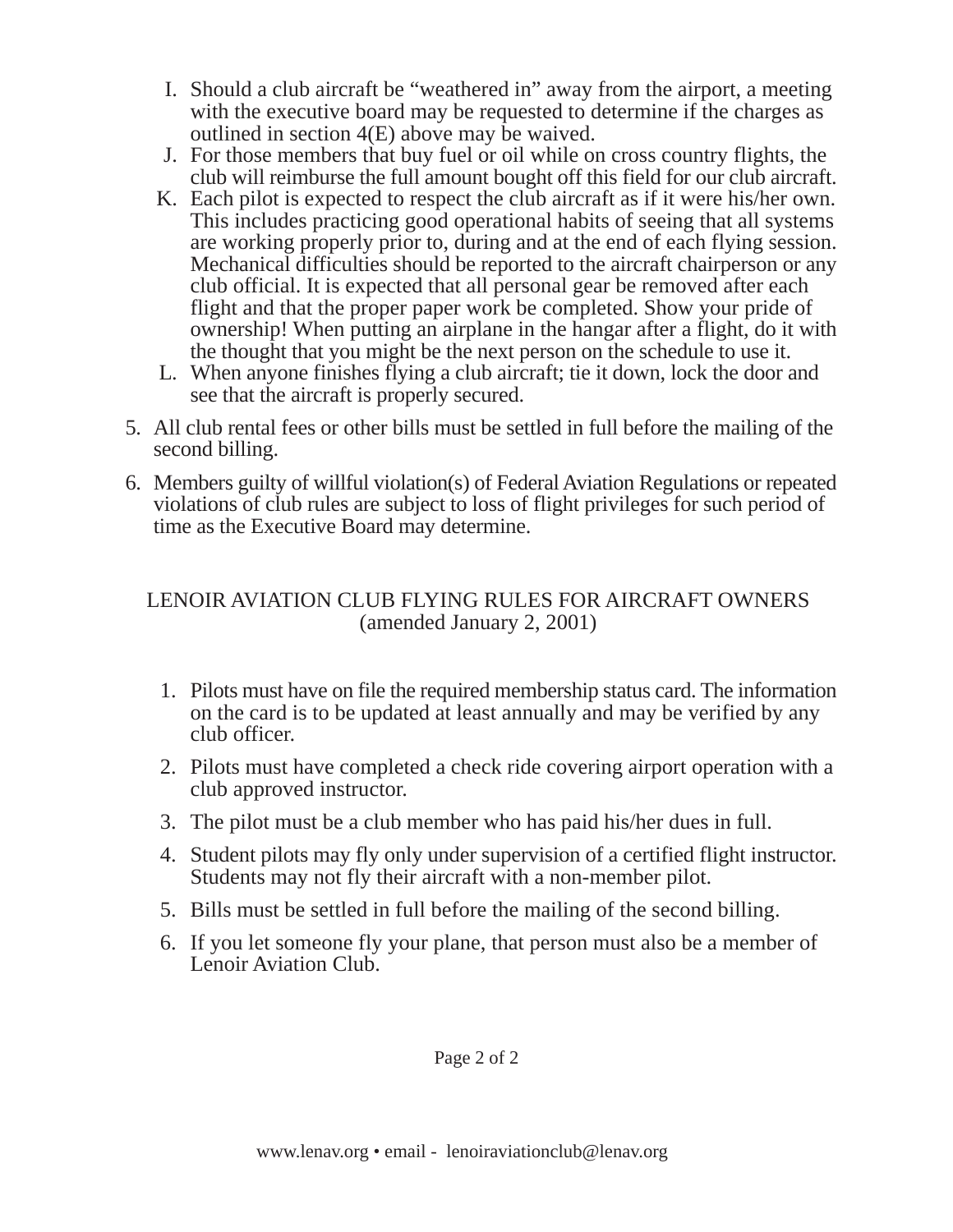- I. Should a club aircraft be "weathered in" away from the airport, a meeting with the executive board may be requested to determine if the charges as outlined in section 4(E) above may be waived.
- J. For those members that buy fuel or oil while on cross country flights, the club will reimburse the full amount bought off this field for our club aircraft.
- K. Each pilot is expected to respect the club aircraft as if it were his/her own. This includes practicing good operational habits of seeing that all systems are working properly prior to, during and at the end of each flying session. Mechanical difficulties should be reported to the aircraft chairperson or any club official. It is expected that all personal gear be removed after each flight and that the proper paper work be completed. Show your pride of ownership! When putting an airplane in the hangar after a flight, do it with the thought that you might be the next person on the schedule to use it.
- L. When anyone finishes flying a club aircraft; tie it down, lock the door and see that the aircraft is properly secured.
- 5. All club rental fees or other bills must be settled in full before the mailing of the second billing.
- 6. Members guilty of willful violation(s) of Federal Aviation Regulations or repeated violations of club rules are subject to loss of flight privileges for such period of time as the Executive Board may determine.

### LENOIR AVIATION CLUB FLYING RULES FOR AIRCRAFT OWNERS (amended January 2, 2001)

- 1. Pilots must have on file the required membership status card. The information on the card is to be updated at least annually and may be verified by any club officer.
- 2. Pilots must have completed a check ride covering airport operation with a club approved instructor.
- 3. The pilot must be a club member who has paid his/her dues in full.
- 4. Student pilots may fly only under supervision of a certified flight instructor. Students may not fly their aircraft with a non-member pilot.
- 5. Bills must be settled in full before the mailing of the second billing.
- 6. If you let someone fly your plane, that person must also be a member of Lenoir Aviation Club.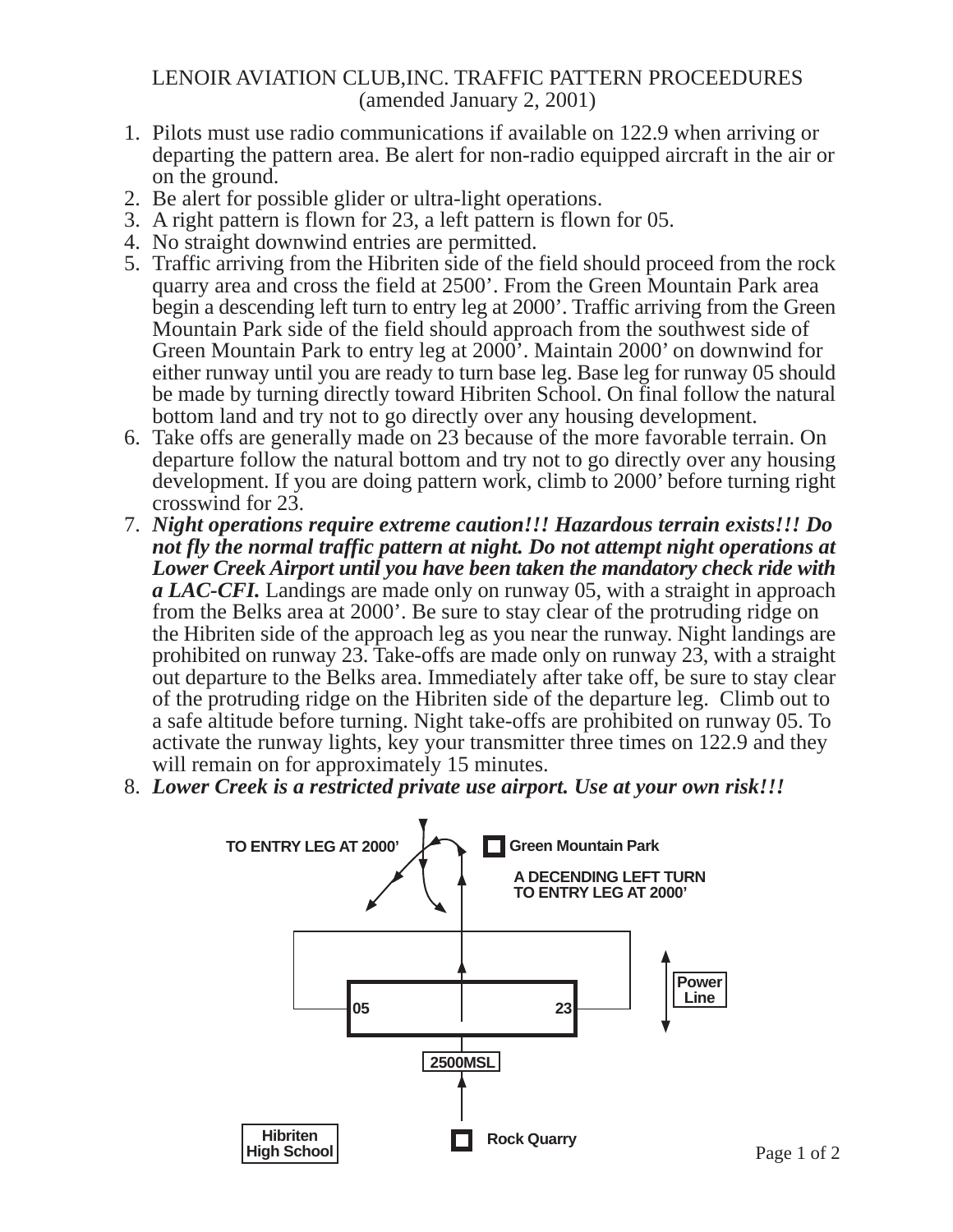#### LENOIR AVIATION CLUB,INC. TRAFFIC PATTERN PROCEEDURES (amended January 2, 2001)

- 1. Pilots must use radio communications if available on 122.9 when arriving or departing the pattern area. Be alert for non-radio equipped aircraft in the air or on the ground.
- 2. Be alert for possible glider or ultra-light operations.
- 3. A right pattern is flown for 23, a left pattern is flown for 05.
- 4. No straight downwind entries are permitted.
- 5. Traffic arriving from the Hibriten side of the field should proceed from the rock quarry area and cross the field at 2500'. From the Green Mountain Park area begin a descending left turn to entry leg at 2000'. Traffic arriving from the Green Mountain Park side of the field should approach from the southwest side of Green Mountain Park to entry leg at 2000'. Maintain 2000' on downwind for either runway until you are ready to turn base leg. Base leg for runway 05 should be made by turning directly toward Hibriten School. On final follow the natural bottom land and try not to go directly over any housing development.
- 6. Take offs are generally made on 23 because of the more favorable terrain. On departure follow the natural bottom and try not to go directly over any housing development. If you are doing pattern work, climb to 2000' before turning right crosswind for 23.
- 7. *Night operations require extreme caution!!! Hazardous terrain exists!!! Do not fly the normal traffic pattern at night. Do not attempt night operations at Lower Creek Airport until you have been taken the mandatory check ride with a LAC-CFI.* Landings are made only on runway 05, with a straight in approach from the Belks area at 2000'. Be sure to stay clear of the protruding ridge on the Hibriten side of the approach leg as you near the runway. Night landings are prohibited on runway 23. Take-offs are made only on runway 23, with a straight out departure to the Belks area. Immediately after take off, be sure to stay clear of the protruding ridge on the Hibriten side of the departure leg. Climb out to a safe altitude before turning. Night take-offs are prohibited on runway 05. To activate the runway lights, key your transmitter three times on 122.9 and they will remain on for approximately 15 minutes.
- 8. *Lower Creek is a restricted private use airport. Use at your own risk!!!*

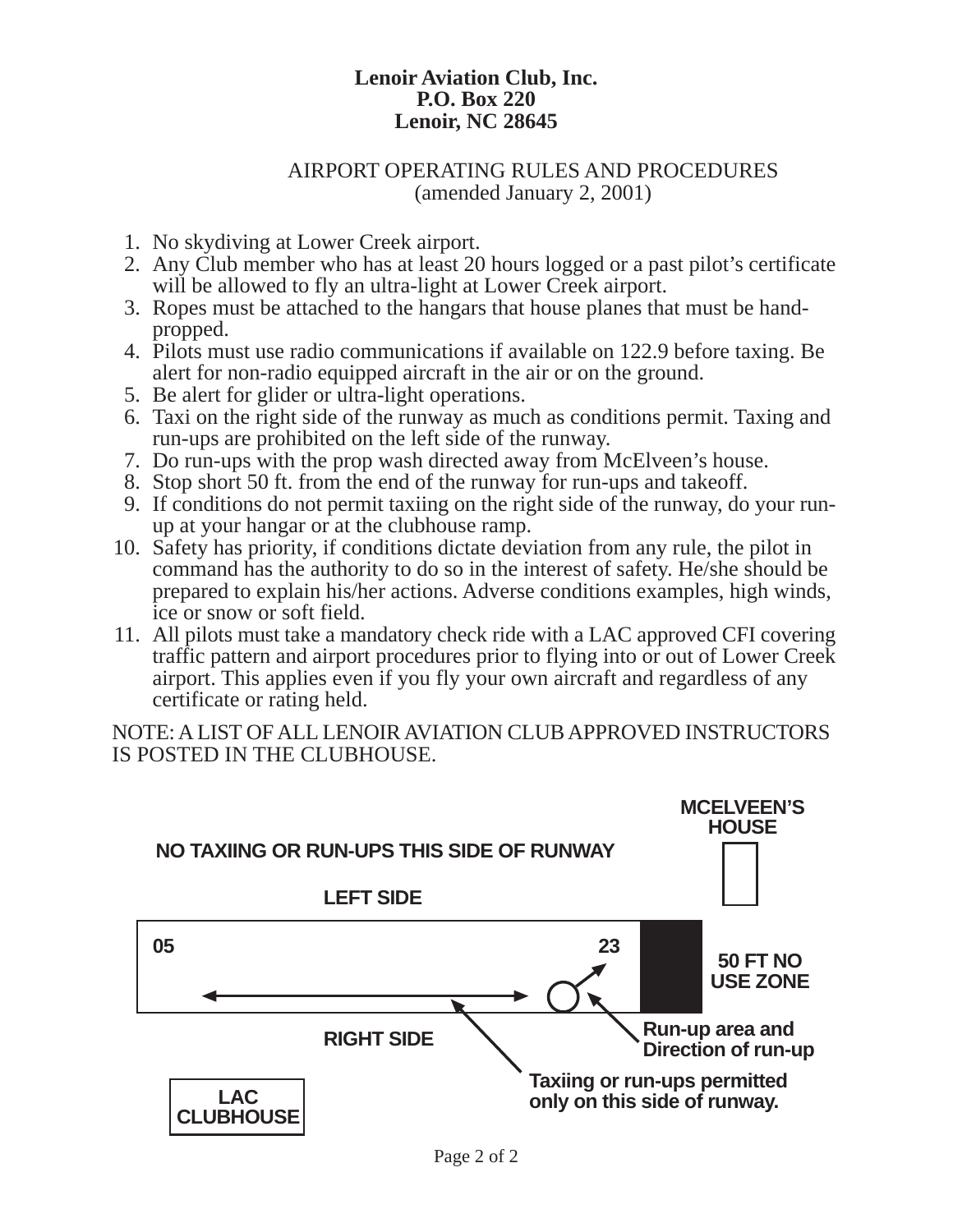#### AIRPORT OPERATING RULES AND PROCEDURES (amended January 2, 2001)

- 1. No skydiving at Lower Creek airport.
- 2. Any Club member who has at least 20 hours logged or a past pilot's certificate will be allowed to fly an ultra-light at Lower Creek airport.
- 3. Ropes must be attached to the hangars that house planes that must be handpropped.
- 4. Pilots must use radio communications if available on 122.9 before taxing. Be alert for non-radio equipped aircraft in the air or on the ground.
- 5. Be alert for glider or ultra-light operations.
- 6. Taxi on the right side of the runway as much as conditions permit. Taxing and run-ups are prohibited on the left side of the runway.
- 7. Do run-ups with the prop wash directed away from McElveen's house.
- 8. Stop short 50 ft. from the end of the runway for run-ups and takeoff.
- 9. If conditions do not permit taxiing on the right side of the runway, do your runup at your hangar or at the clubhouse ramp.
- 10. Safety has priority, if conditions dictate deviation from any rule, the pilot in command has the authority to do so in the interest of safety. He/she should be prepared to explain his/her actions. Adverse conditions examples, high winds, ice or snow or soft field.
- 11. All pilots must take a mandatory check ride with a LAC approved CFI covering traffic pattern and airport procedures prior to flying into or out of Lower Creek airport. This applies even if you fly your own aircraft and regardless of any certificate or rating held.

NOTE: A LIST OF ALL LENOIR AVIATION CLUB APPROVED INSTRUCTORS IS POSTED IN THE CLUBHOUSE.

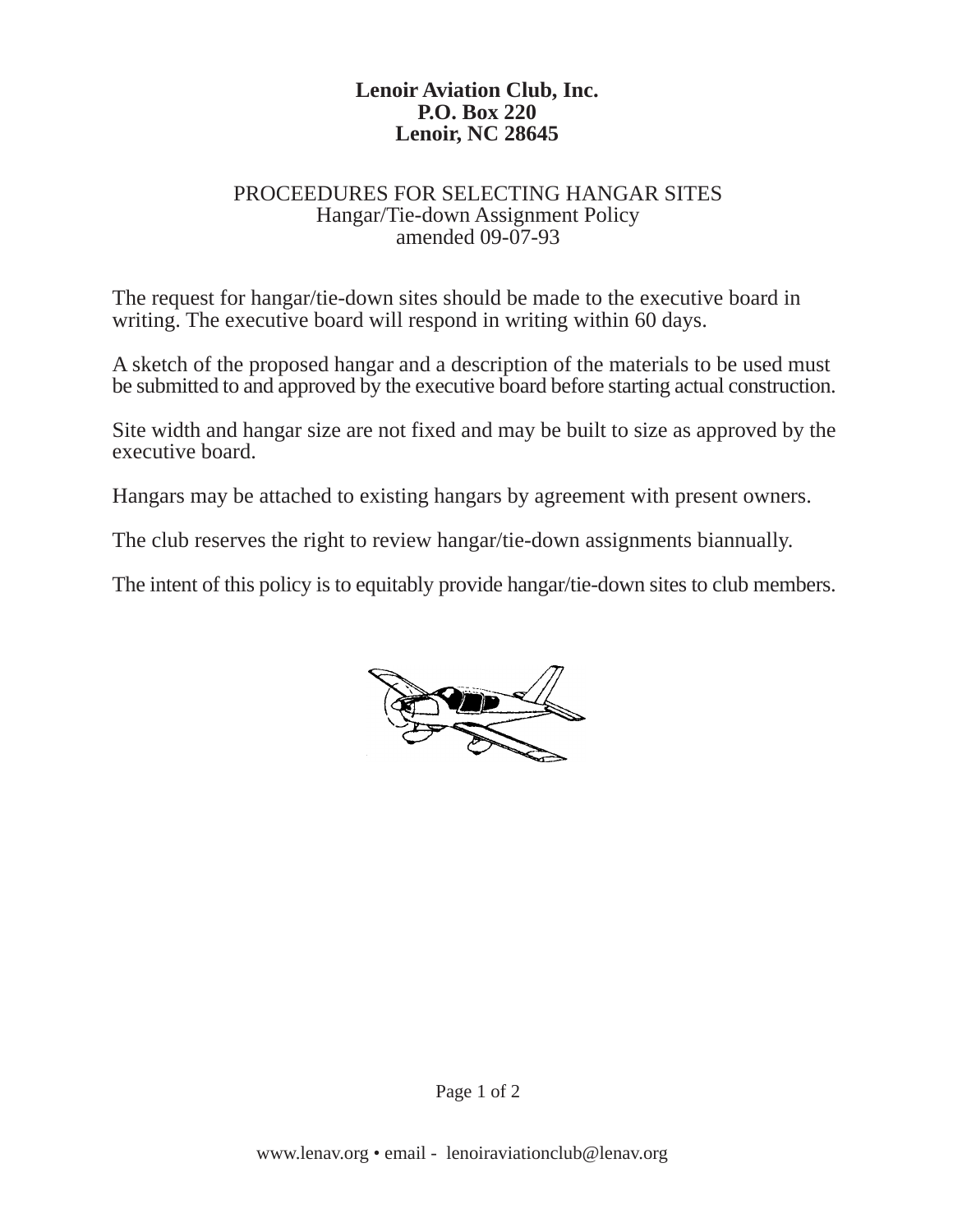#### PROCEEDURES FOR SELECTING HANGAR SITES Hangar/Tie-down Assignment Policy amended 09-07-93

The request for hangar/tie-down sites should be made to the executive board in writing. The executive board will respond in writing within 60 days.

A sketch of the proposed hangar and a description of the materials to be used must be submitted to and approved by the executive board before starting actual construction.

Site width and hangar size are not fixed and may be built to size as approved by the executive board.

Hangars may be attached to existing hangars by agreement with present owners.

The club reserves the right to review hangar/tie-down assignments biannually.

The intent of this policy is to equitably provide hangar/tie-down sites to club members.

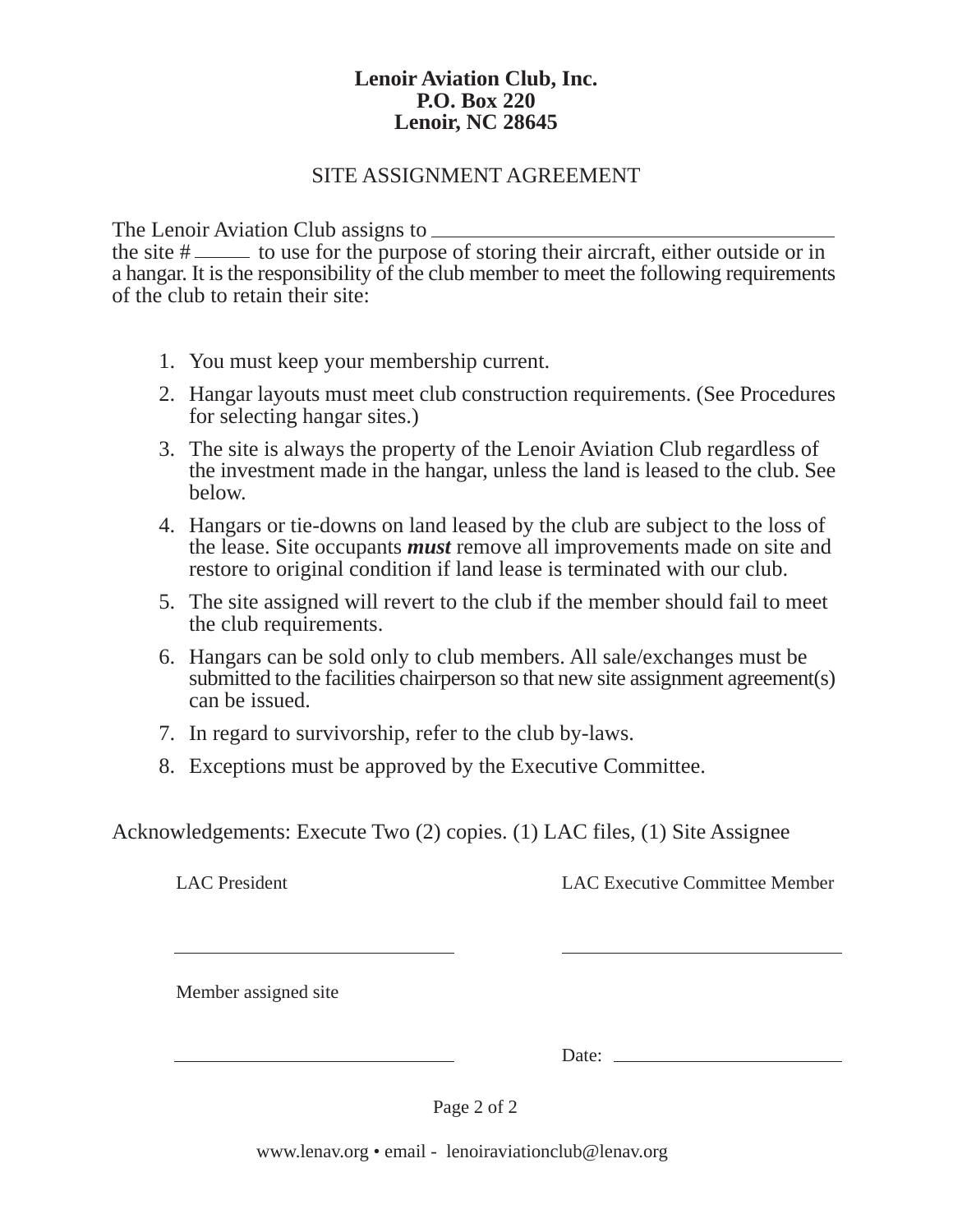#### SITE ASSIGNMENT AGREEMENT

The Lenoir Aviation Club assigns to

the site  $\#$   $\equiv$  to use for the purpose of storing their aircraft, either outside or in a hangar. It is the responsibility of the club member to meet the following requirements of the club to retain their site:

- 1. You must keep your membership current.
- 2. Hangar layouts must meet club construction requirements. (See Procedures for selecting hangar sites.)
- 3. The site is always the property of the Lenoir Aviation Club regardless of the investment made in the hangar, unless the land is leased to the club. See below.
- 4. Hangars or tie-downs on land leased by the club are subject to the loss of the lease. Site occupants *must* remove all improvements made on site and restore to original condition if land lease is terminated with our club.
- 5. The site assigned will revert to the club if the member should fail to meet the club requirements.
- 6. Hangars can be sold only to club members. All sale/exchanges must be submitted to the facilities chairperson so that new site assignment agreement(s) can be issued.
- 7. In regard to survivorship, refer to the club by-laws.
- 8. Exceptions must be approved by the Executive Committee.

Acknowledgements: Execute Two (2) copies. (1) LAC files, (1) Site Assignee

LAC President LAC Executive Committee Member

Member assigned site

Date:

Page 2 of 2

www.lenav.org • email - lenoiraviationclub@lenav.org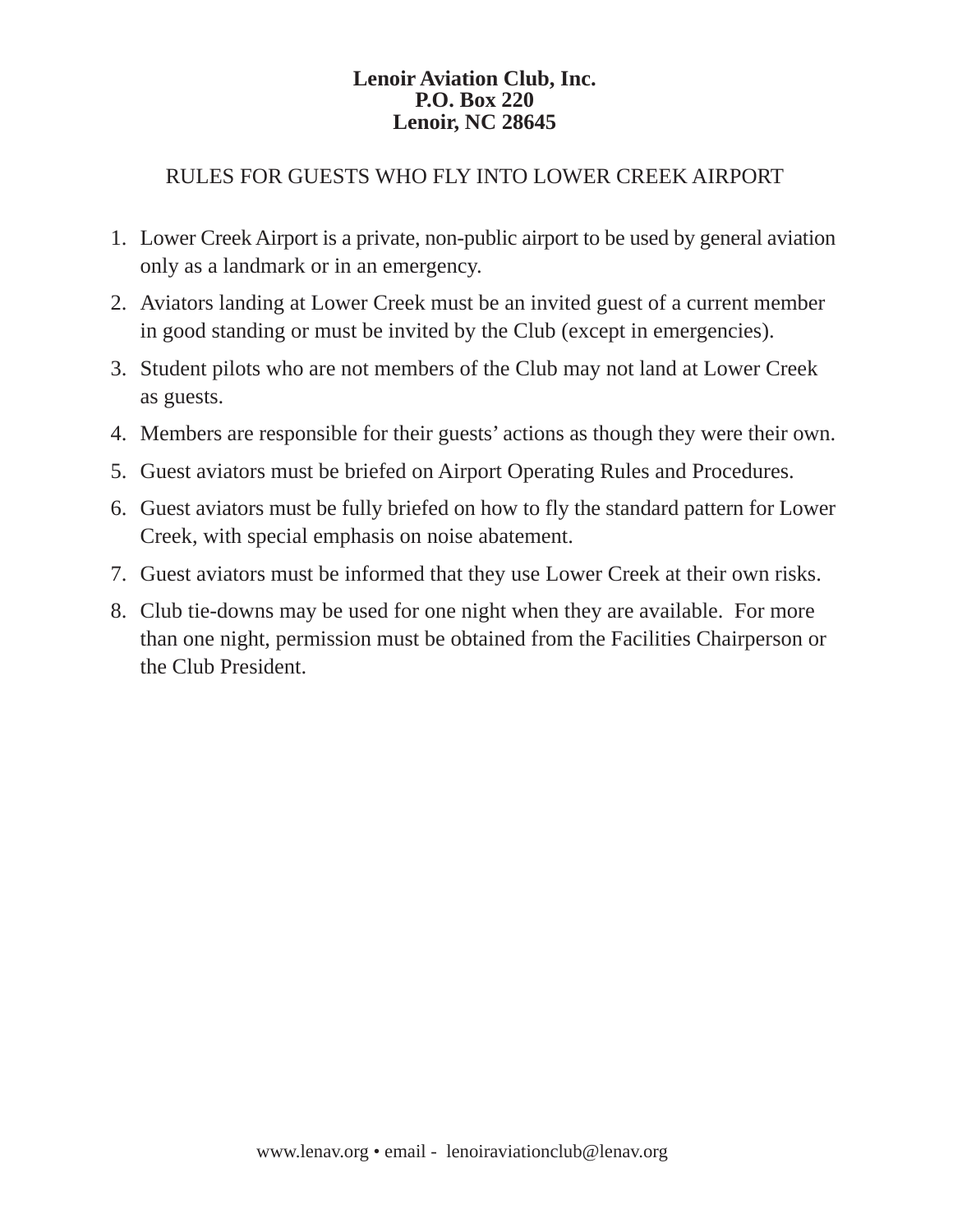### RULES FOR GUESTS WHO FLY INTO LOWER CREEK AIRPORT

- 1. Lower Creek Airport is a private, non-public airport to be used by general aviation only as a landmark or in an emergency.
- 2. Aviators landing at Lower Creek must be an invited guest of a current member in good standing or must be invited by the Club (except in emergencies).
- 3. Student pilots who are not members of the Club may not land at Lower Creek as guests.
- 4. Members are responsible for their guests' actions as though they were their own.
- 5. Guest aviators must be briefed on Airport Operating Rules and Procedures.
- 6. Guest aviators must be fully briefed on how to fly the standard pattern for Lower Creek, with special emphasis on noise abatement.
- 7. Guest aviators must be informed that they use Lower Creek at their own risks.
- 8. Club tie-downs may be used for one night when they are available. For more than one night, permission must be obtained from the Facilities Chairperson or the Club President.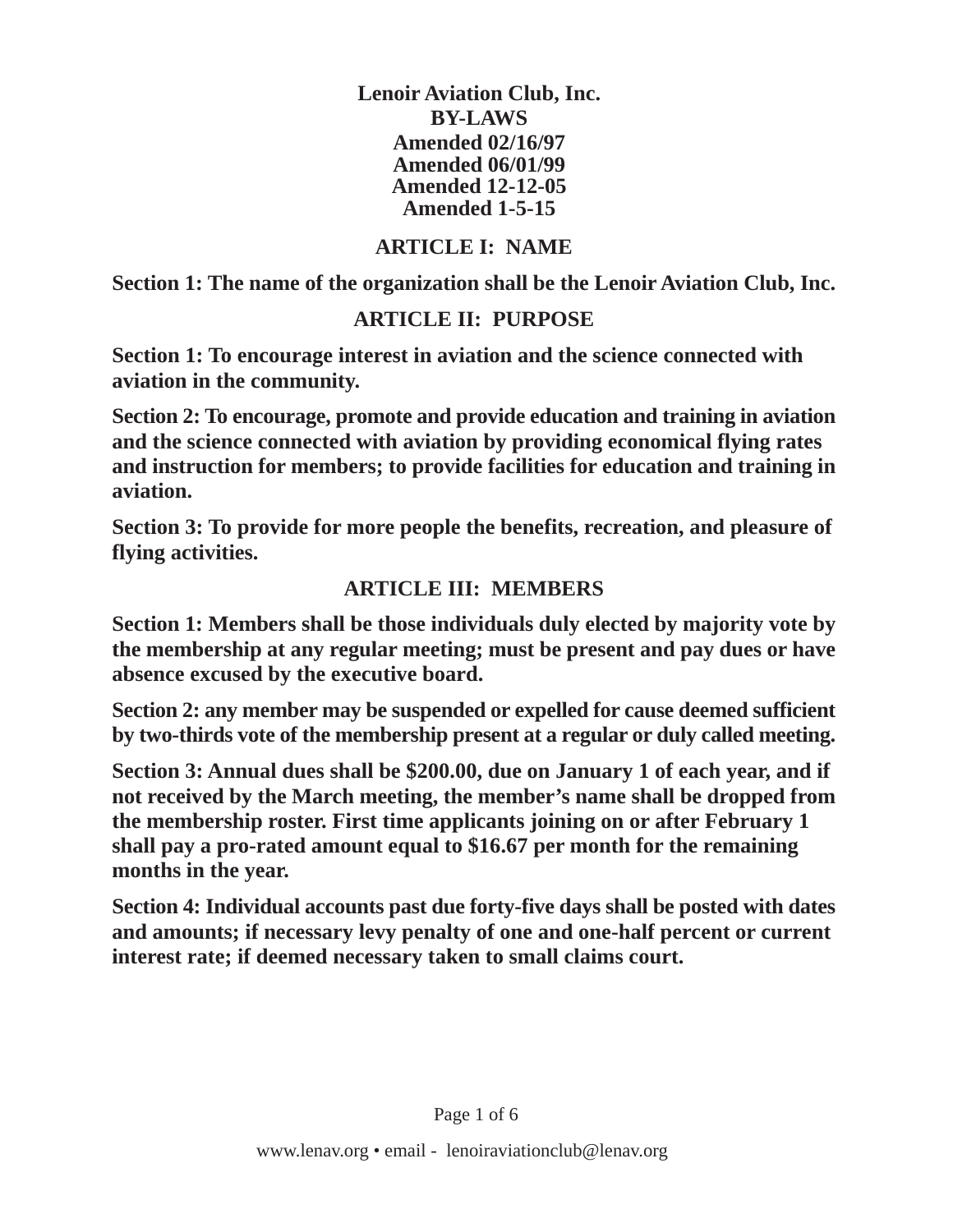**Lenoir Aviation Club, Inc. BY-LAWS Amended 02/16/97 Amended 06/01/99 Amended 12-12-05 Amended 1-5-15**

### **ARTICLE I: NAME**

**Section 1: The name of the organization shall be the Lenoir Aviation Club, Inc.**

### **ARTICLE II: PURPOSE**

**Section 1: To encourage interest in aviation and the science connected with aviation in the community.**

**Section 2: To encourage, promote and provide education and training in aviation and the science connected with aviation by providing economical flying rates and instruction for members; to provide facilities for education and training in aviation.**

**Section 3: To provide for more people the benefits, recreation, and pleasure of flying activities.**

### **ARTICLE III: MEMBERS**

**Section 1: Members shall be those individuals duly elected by majority vote by the membership at any regular meeting; must be present and pay dues or have absence excused by the executive board.**

**Section 2: any member may be suspended or expelled for cause deemed sufficient by two-thirds vote of the membership present at a regular or duly called meeting.**

**Section 3: Annual dues shall be \$200.00, due on January 1 of each year, and if not received by the March meeting, the member's name shall be dropped from the membership roster. First time applicants joining on or after February 1 shall pay a pro-rated amount equal to \$16.67 per month for the remaining months in the year.**

**Section 4: Individual accounts past due forty-five days shall be posted with dates and amounts; if necessary levy penalty of one and one-half percent or current interest rate; if deemed necessary taken to small claims court.**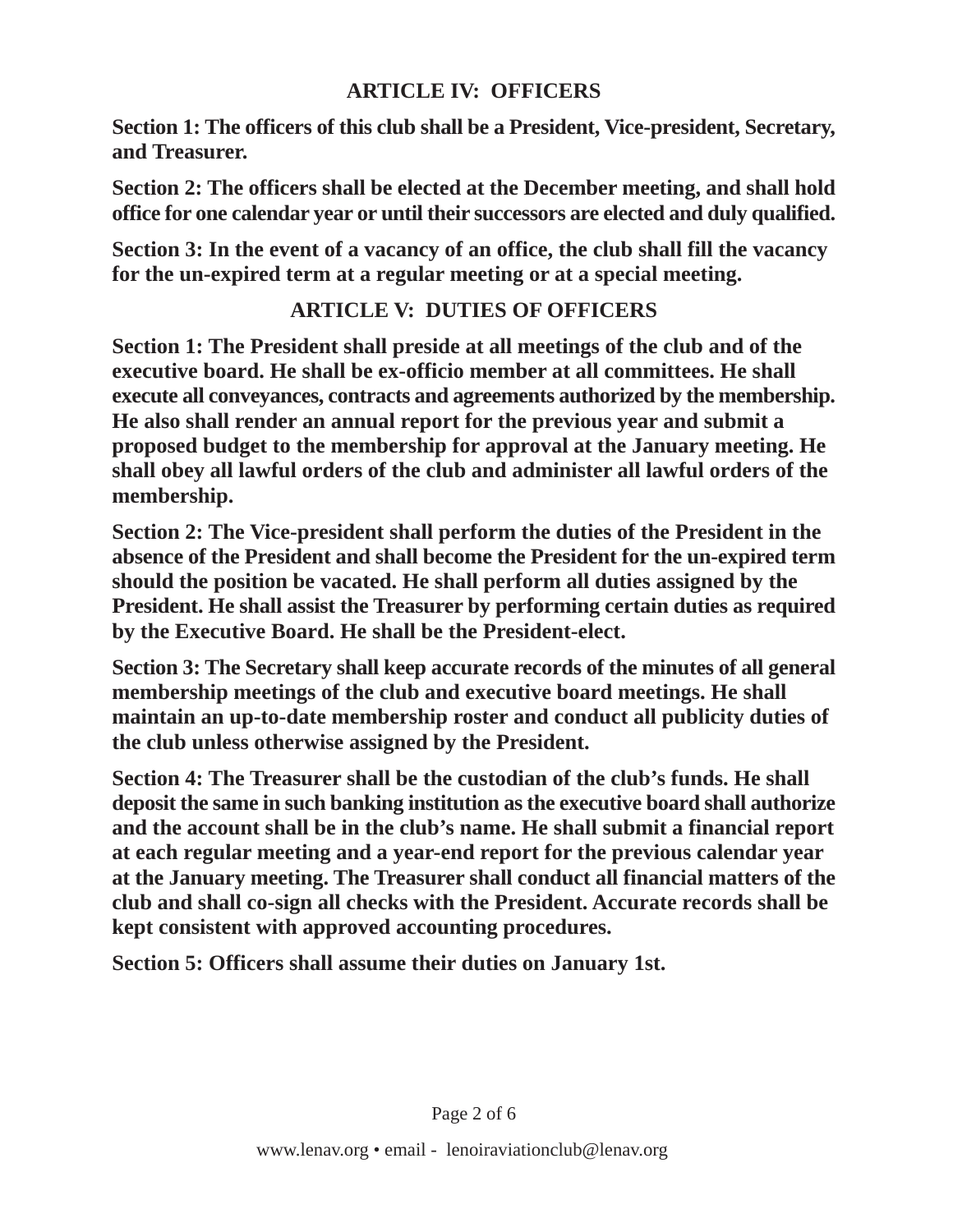### **ARTICLE IV: OFFICERS**

**Section 1: The officers of this club shall be a President, Vice-president, Secretary, and Treasurer.**

**Section 2: The officers shall be elected at the December meeting, and shall hold office for one calendar year or until their successors are elected and duly qualified.**

**Section 3: In the event of a vacancy of an office, the club shall fill the vacancy for the un-expired term at a regular meeting or at a special meeting.**

## **ARTICLE V: DUTIES OF OFFICERS**

**Section 1: The President shall preside at all meetings of the club and of the executive board. He shall be ex-officio member at all committees. He shall execute all conveyances, contracts and agreements authorized by the membership. He also shall render an annual report for the previous year and submit a proposed budget to the membership for approval at the January meeting. He shall obey all lawful orders of the club and administer all lawful orders of the membership.**

**Section 2: The Vice-president shall perform the duties of the President in the absence of the President and shall become the President for the un-expired term should the position be vacated. He shall perform all duties assigned by the President. He shall assist the Treasurer by performing certain duties as required by the Executive Board. He shall be the President-elect.**

**Section 3: The Secretary shall keep accurate records of the minutes of all general membership meetings of the club and executive board meetings. He shall maintain an up-to-date membership roster and conduct all publicity duties of the club unless otherwise assigned by the President.**

**Section 4: The Treasurer shall be the custodian of the club's funds. He shall deposit the same in such banking institution as the executive board shall authorize and the account shall be in the club's name. He shall submit a financial report at each regular meeting and a year-end report for the previous calendar year at the January meeting. The Treasurer shall conduct all financial matters of the club and shall co-sign all checks with the President. Accurate records shall be kept consistent with approved accounting procedures.**

**Section 5: Officers shall assume their duties on January 1st.**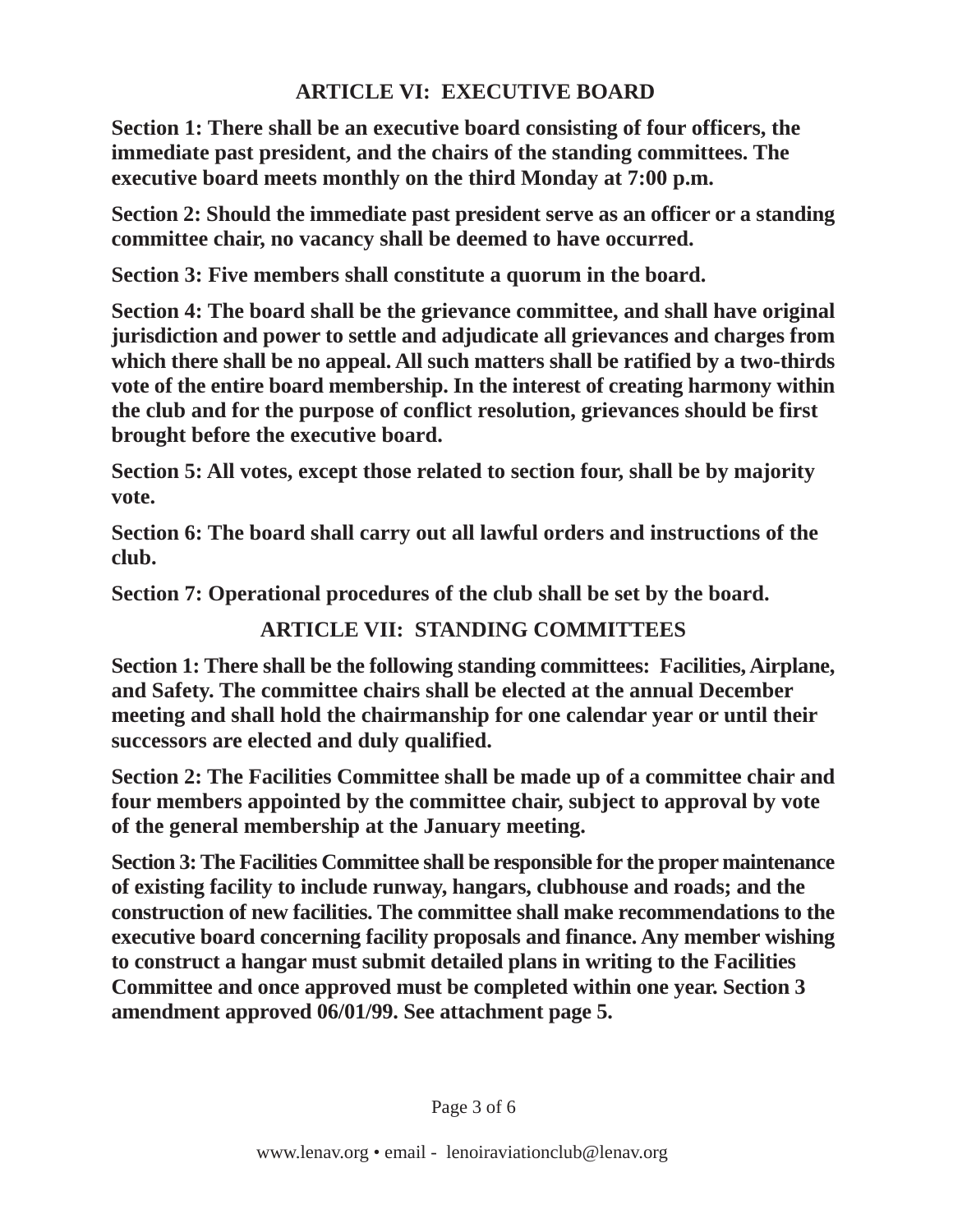## **ARTICLE VI: EXECUTIVE BOARD**

**Section 1: There shall be an executive board consisting of four officers, the immediate past president, and the chairs of the standing committees. The executive board meets monthly on the third Monday at 7:00 p.m.**

**Section 2: Should the immediate past president serve as an officer or a standing committee chair, no vacancy shall be deemed to have occurred.**

**Section 3: Five members shall constitute a quorum in the board.**

**Section 4: The board shall be the grievance committee, and shall have original jurisdiction and power to settle and adjudicate all grievances and charges from which there shall be no appeal. All such matters shall be ratified by a two-thirds vote of the entire board membership. In the interest of creating harmony within the club and for the purpose of conflict resolution, grievances should be first brought before the executive board.**

**Section 5: All votes, except those related to section four, shall be by majority vote.**

**Section 6: The board shall carry out all lawful orders and instructions of the club.**

**Section 7: Operational procedures of the club shall be set by the board.**

# **ARTICLE VII: STANDING COMMITTEES**

**Section 1: There shall be the following standing committees: Facilities, Airplane, and Safety. The committee chairs shall be elected at the annual December meeting and shall hold the chairmanship for one calendar year or until their successors are elected and duly qualified.**

**Section 2: The Facilities Committee shall be made up of a committee chair and four members appointed by the committee chair, subject to approval by vote of the general membership at the January meeting.**

**Section 3: The Facilities Committee shall be responsible for the proper maintenance of existing facility to include runway, hangars, clubhouse and roads; and the construction of new facilities. The committee shall make recommendations to the executive board concerning facility proposals and finance. Any member wishing to construct a hangar must submit detailed plans in writing to the Facilities Committee and once approved must be completed within one year. Section 3 amendment approved 06/01/99. See attachment page 5.**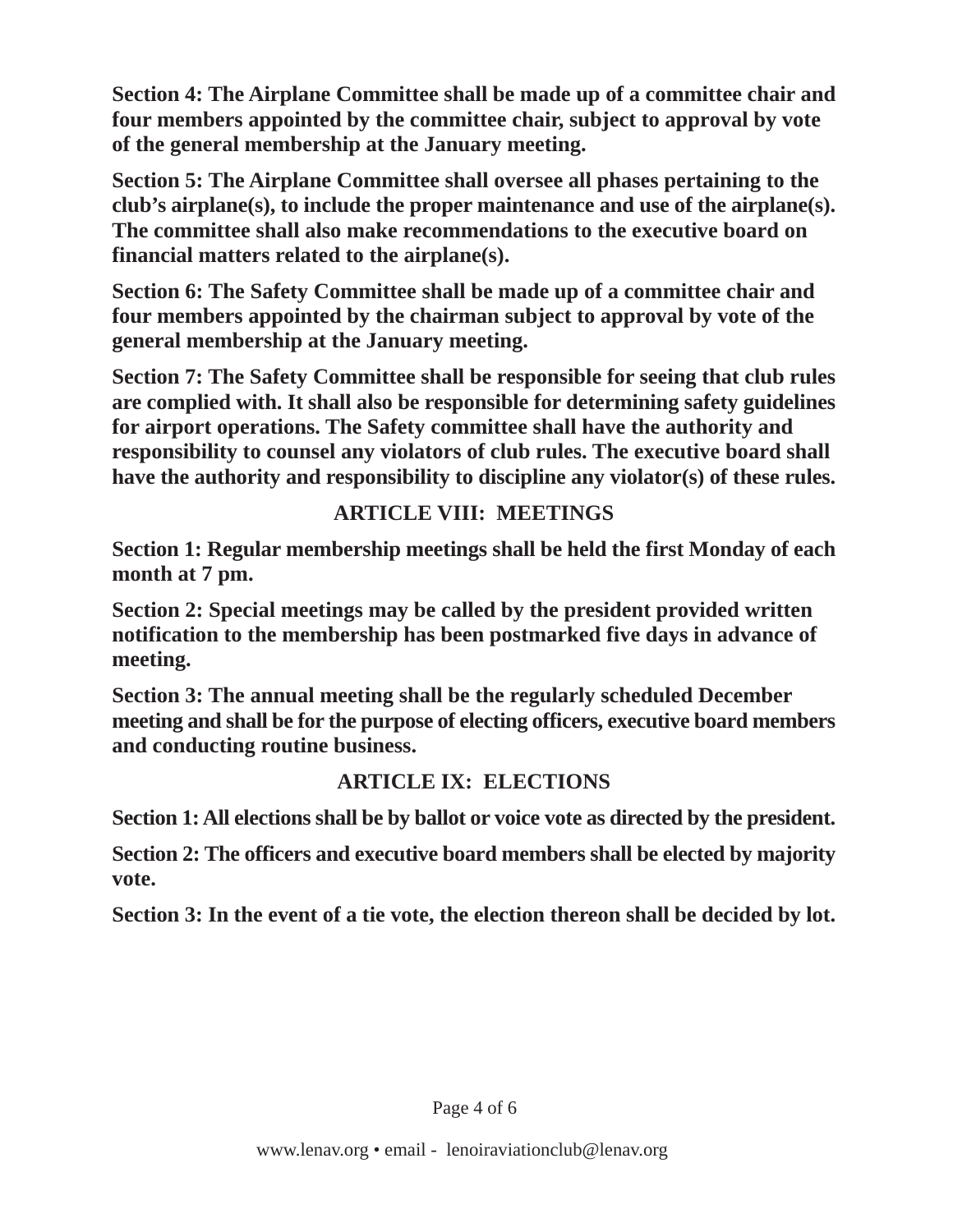**Section 4: The Airplane Committee shall be made up of a committee chair and four members appointed by the committee chair, subject to approval by vote of the general membership at the January meeting.**

**Section 5: The Airplane Committee shall oversee all phases pertaining to the club's airplane(s), to include the proper maintenance and use of the airplane(s). The committee shall also make recommendations to the executive board on financial matters related to the airplane(s).**

**Section 6: The Safety Committee shall be made up of a committee chair and four members appointed by the chairman subject to approval by vote of the general membership at the January meeting.**

**Section 7: The Safety Committee shall be responsible for seeing that club rules are complied with. It shall also be responsible for determining safety guidelines for airport operations. The Safety committee shall have the authority and responsibility to counsel any violators of club rules. The executive board shall have the authority and responsibility to discipline any violator(s) of these rules.**

## **ARTICLE VIII: MEETINGS**

**Section 1: Regular membership meetings shall be held the first Monday of each month at 7 pm.**

**Section 2: Special meetings may be called by the president provided written notification to the membership has been postmarked five days in advance of meeting.**

**Section 3: The annual meeting shall be the regularly scheduled December meeting and shall be for the purpose of electing officers, executive board members and conducting routine business.**

# **ARTICLE IX: ELECTIONS**

**Section 1: All elections shall be by ballot or voice vote as directed by the president.**

**Section 2: The officers and executive board members shall be elected by majority vote.**

**Section 3: In the event of a tie vote, the election thereon shall be decided by lot.**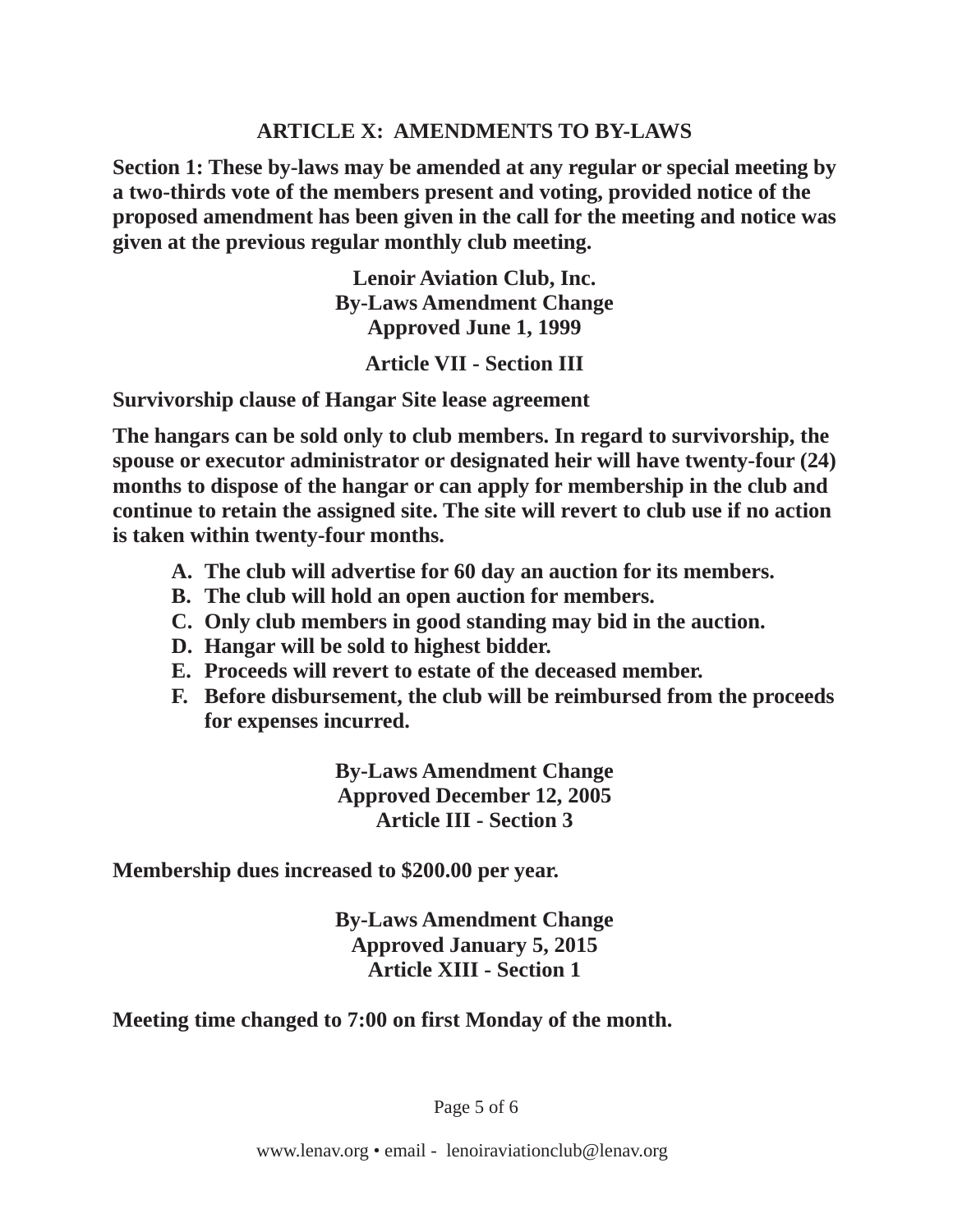### **ARTICLE X: AMENDMENTS TO BY-LAWS**

**Section 1: These by-laws may be amended at any regular or special meeting by a two-thirds vote of the members present and voting, provided notice of the proposed amendment has been given in the call for the meeting and notice was given at the previous regular monthly club meeting.**

> **Lenoir Aviation Club, Inc. By-Laws Amendment Change Approved June 1, 1999**

> > **Article VII - Section III**

**Survivorship clause of Hangar Site lease agreement**

**The hangars can be sold only to club members. In regard to survivorship, the spouse or executor administrator or designated heir will have twenty-four (24) months to dispose of the hangar or can apply for membership in the club and continue to retain the assigned site. The site will revert to club use if no action is taken within twenty-four months.**

- **A. The club will advertise for 60 day an auction for its members.**
- **B. The club will hold an open auction for members.**
- **C. Only club members in good standing may bid in the auction.**
- **D. Hangar will be sold to highest bidder.**
- **E. Proceeds will revert to estate of the deceased member.**
- **F. Before disbursement, the club will be reimbursed from the proceeds for expenses incurred.**

**By-Laws Amendment Change Approved December 12, 2005 Article III - Section 3**

**Membership dues increased to \$200.00 per year.**

**By-Laws Amendment Change Approved January 5, 2015 Article XIII - Section 1**

**Meeting time changed to 7:00 on first Monday of the month.**

Page 5 of 6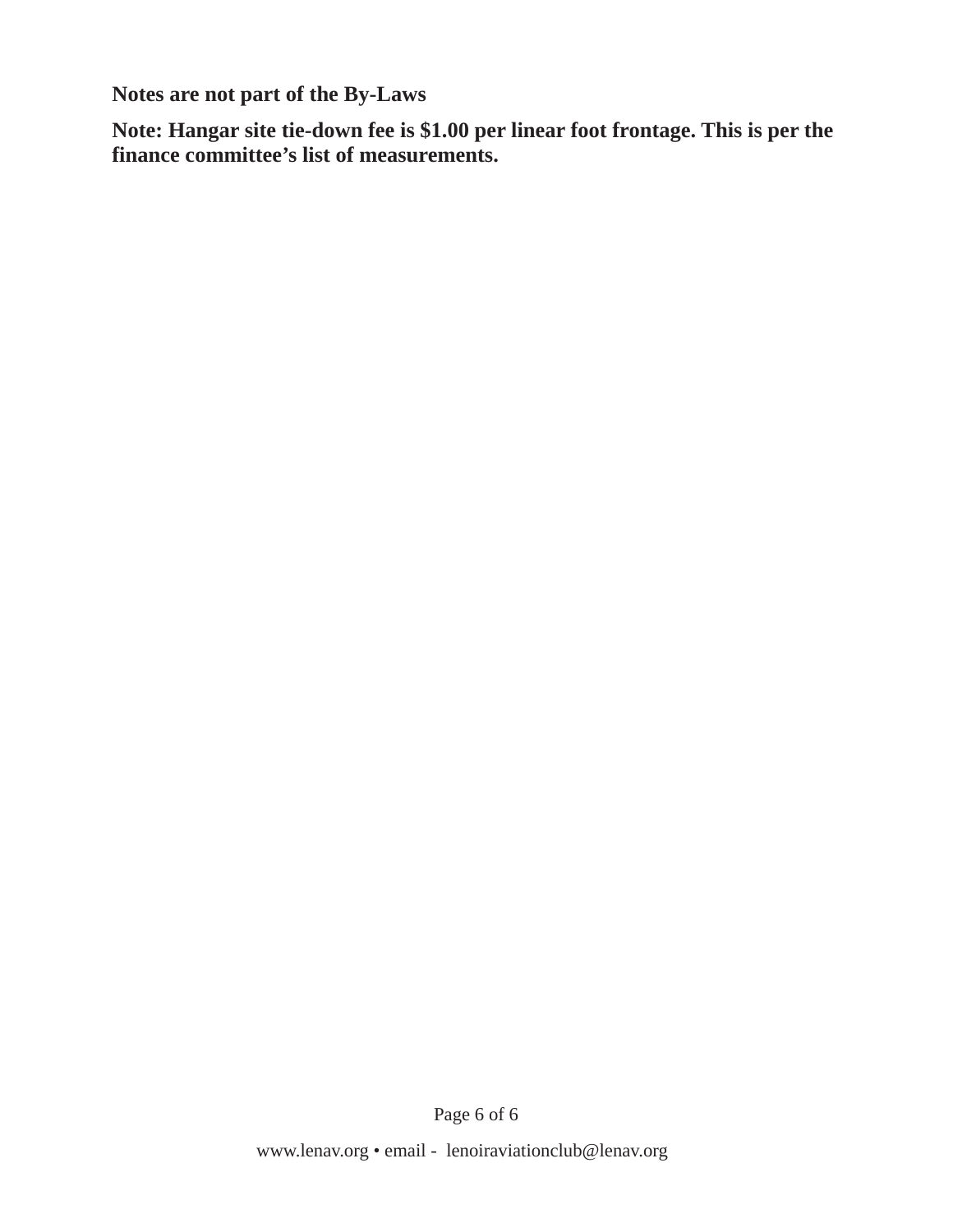**Notes are not part of the By-Laws**

**Note: Hangar site tie-down fee is \$1.00 per linear foot frontage. This is per the finance committee's list of measurements.**